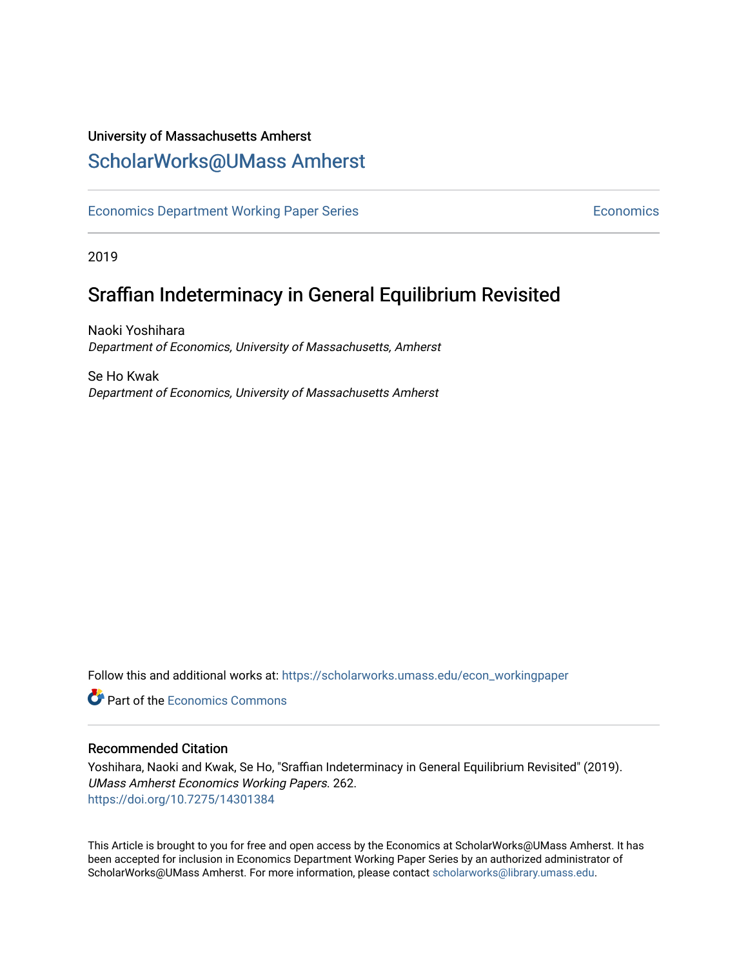## University of Massachusetts Amherst [ScholarWorks@UMass Amherst](https://scholarworks.umass.edu/)

[Economics Department Working Paper Series](https://scholarworks.umass.edu/econ_workingpaper) **Economics** Economics

2019

# Sraffian Indeterminacy in General Equilibrium Revisited

Naoki Yoshihara Department of Economics, University of Massachusetts, Amherst

Se Ho Kwak Department of Economics, University of Massachusetts Amherst

Follow this and additional works at: [https://scholarworks.umass.edu/econ\\_workingpaper](https://scholarworks.umass.edu/econ_workingpaper?utm_source=scholarworks.umass.edu%2Fecon_workingpaper%2F262&utm_medium=PDF&utm_campaign=PDFCoverPages) 

**C** Part of the [Economics Commons](http://network.bepress.com/hgg/discipline/340?utm_source=scholarworks.umass.edu%2Fecon_workingpaper%2F262&utm_medium=PDF&utm_campaign=PDFCoverPages)

#### Recommended Citation

Yoshihara, Naoki and Kwak, Se Ho, "Sraffian Indeterminacy in General Equilibrium Revisited" (2019). UMass Amherst Economics Working Papers. 262. <https://doi.org/10.7275/14301384>

This Article is brought to you for free and open access by the Economics at ScholarWorks@UMass Amherst. It has been accepted for inclusion in Economics Department Working Paper Series by an authorized administrator of ScholarWorks@UMass Amherst. For more information, please contact [scholarworks@library.umass.edu.](mailto:scholarworks@library.umass.edu)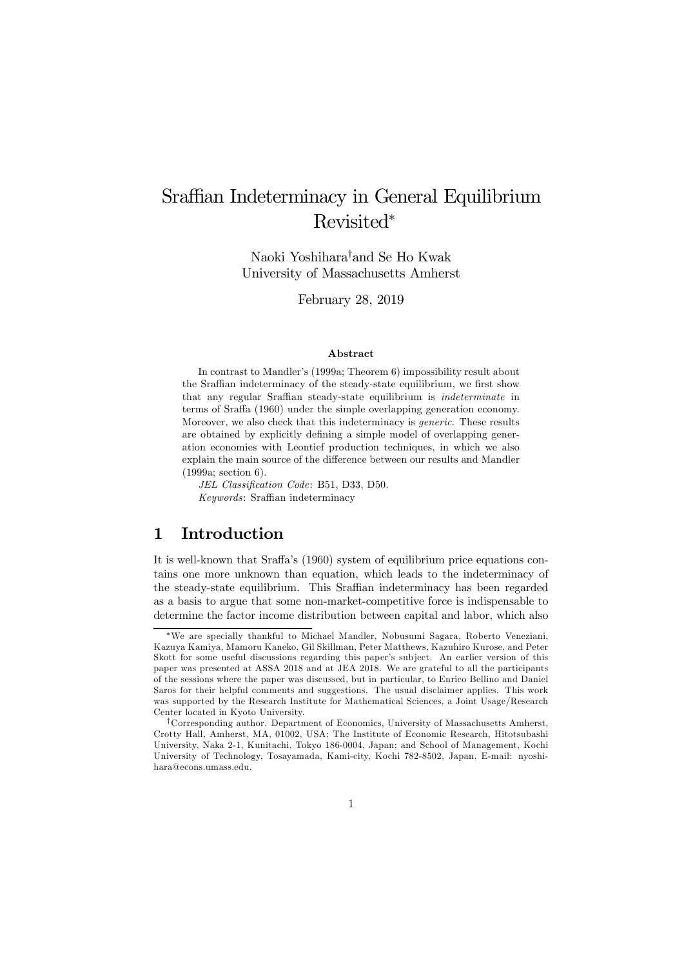# Sraffian Indeterminacy in General Equilibrium Revisited<sup>∗</sup>

Naoki Yoshihara† and Se Ho Kwak University of Massachusetts Amherst

February 28, 2019

#### Abstract

In contrast to Mandler's (1999a; Theorem 6) impossibility result about the Sraffian indeterminacy of the steady-state equilibrium, we first show that any regular Sraffian steady-state equilibrium is indeterminate in terms of Sraffa (1960) under the simple overlapping generation economy. Moreover, we also check that this indeterminacy is generic. These results are obtained by explicitly defining a simple model of overlapping generation economies with Leontief production techniques, in which we also explain the main source of the difference between our results and Mandler (1999a; section 6).

JEL Classification Code: B51, D33, D50. Keywords: Sraffian indeterminacy

### 1 Introduction

It is well-known that Sraffa's (1960) system of equilibrium price equations contains one more unknown than equation, which leads to the indeterminacy of the steady-state equilibrium. This Sraffian indeterminacy has been regarded as a basis to argue that some non-market-competitive force is indispensable to determine the factor income distribution between capital and labor, which also

<sup>∗</sup>We are specially thankful to Michael Mandler, Nobusumi Sagara, Roberto Veneziani, Kazuya Kamiya, Mamoru Kaneko, Gil Skillman, Peter Matthews, Kazuhiro Kurose, and Peter Skott for some useful discussions regarding this paper's sub ject. An earlier version of this paper was presented at ASSA 2018 and at JEA 2018. We are grateful to all the participants of the sessions where the paper was discussed, but in particular, to Enrico Bellino and Daniel Saros for their helpful comments and suggestions. The usual disclaimer applies. This work was supported by the Research Institute for Mathematical Sciences, a Joint Usage/Research Center located in Kyoto University.

<sup>†</sup>Corresponding author. Department of Economics, University of Massachusetts Amherst, Crotty Hall, Amherst, MA, 01002, USA; The Institute of Economic Research, Hitotsubashi University, Naka 2-1, Kunitachi, Tokyo 186-0004, Japan; and School of Management, Kochi University of Technology, Tosayamada, Kami-city, Kochi 782-8502, Japan, E-mail: nyoshihara@econs.umass.edu.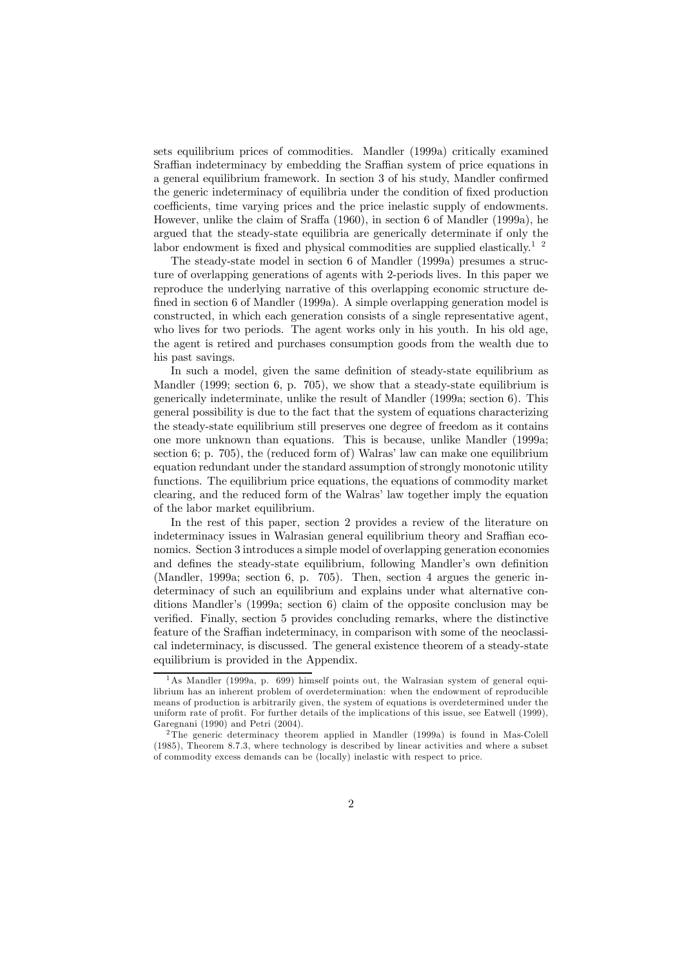sets equilibrium prices of commodities. Mandler (1999a) critically examined Sraffian indeterminacy by embedding the Sraffian system of price equations in a general equilibrium framework. In section 3 of his study, Mandler confirmed the generic indeterminacy of equilibria under the condition of fixed production coefficients, time varying prices and the price inelastic supply of endowments. However, unlike the claim of Sraffa (1960), in section 6 of Mandler (1999a), he argued that the steady-state equilibria are generically determinate if only the labor endowment is fixed and physical commodities are supplied elastically.<sup>1</sup> <sup>2</sup>

The steady-state model in section 6 of Mandler (1999a) presumes a structure of overlapping generations of agents with 2-periods lives. In this paper we reproduce the underlying narrative of this overlapping economic structure defined in section 6 of Mandler (1999a). A simple overlapping generation model is constructed, in which each generation consists of a single representative agent, who lives for two periods. The agent works only in his youth. In his old age, the agent is retired and purchases consumption goods from the wealth due to his past savings.

In such a model, given the same definition of steady-state equilibrium as Mandler (1999; section 6, p. 705), we show that a steady-state equilibrium is generically indeterminate, unlike the result of Mandler (1999a; section 6). This general possibility is due to the fact that the system of equations characterizing the steady-state equilibrium still preserves one degree of freedom as it contains one more unknown than equations. This is because, unlike Mandler (1999a; section 6; p. 705), the (reduced form of) Walras' law can make one equilibrium equation redundant under the standard assumption of strongly monotonic utility functions. The equilibrium price equations, the equations of commodity market clearing, and the reduced form of the Walras' law together imply the equation of the labor market equilibrium.

In the rest of this paper, section 2 provides a review of the literature on indeterminacy issues in Walrasian general equilibrium theory and Sraffian economics. Section 3 introduces a simple model of overlapping generation economies and defines the steady-state equilibrium, following Mandler's own definition (Mandler, 1999a; section 6, p. 705). Then, section 4 argues the generic indeterminacy of such an equilibrium and explains under what alternative conditions Mandler's (1999a; section 6) claim of the opposite conclusion may be verified. Finally, section 5 provides concluding remarks, where the distinctive feature of the Sraffian indeterminacy, in comparison with some of the neoclassical indeterminacy, is discussed. The general existence theorem of a steady-state equilibrium is provided in the Appendix.

<sup>1</sup>As Mandler (1999a, p. 699) himself points out, the Walrasian system of general equilibrium has an inherent problem of overdetermination: when the endowment of reproducible means of production is arbitrarily given, the system of equations is overdetermined under the uniform rate of profit. For further details of the implications of this issue, see Eatwell (1999), Garegnani (1990) and Petri (2004).

<sup>&</sup>lt;sup>2</sup>The generic determinacy theorem applied in Mandler (1999a) is found in Mas-Colell (1985), Theorem 8.7.3, where technology is described by linear activities and where a subset of commodity excess demands can be (locally) inelastic with respect to price.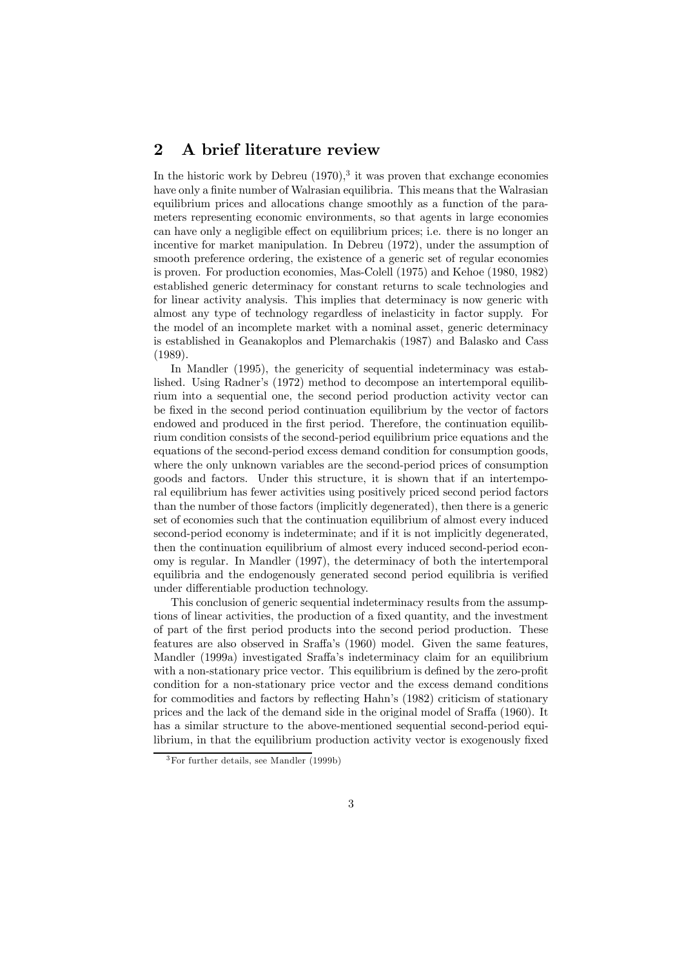### 2 A brief literature review

In the historic work by Debreu  $(1970)$ ,<sup>3</sup> it was proven that exchange economies have only a finite number of Walrasian equilibria. This means that the Walrasian equilibrium prices and allocations change smoothly as a function of the parameters representing economic environments, so that agents in large economies can have only a negligible effect on equilibrium prices; i.e. there is no longer an incentive for market manipulation. In Debreu (1972), under the assumption of smooth preference ordering, the existence of a generic set of regular economies is proven. For production economies, Mas-Colell (1975) and Kehoe (1980, 1982) established generic determinacy for constant returns to scale technologies and for linear activity analysis. This implies that determinacy is now generic with almost any type of technology regardless of inelasticity in factor supply. For the model of an incomplete market with a nominal asset, generic determinacy is established in Geanakoplos and Plemarchakis (1987) and Balasko and Cass (1989).

In Mandler (1995), the genericity of sequential indeterminacy was established. Using Radner's (1972) method to decompose an intertemporal equilibrium into a sequential one, the second period production activity vector can be fixed in the second period continuation equilibrium by the vector of factors endowed and produced in the first period. Therefore, the continuation equilibrium condition consists of the second-period equilibrium price equations and the equations of the second-period excess demand condition for consumption goods, where the only unknown variables are the second-period prices of consumption goods and factors. Under this structure, it is shown that if an intertemporal equilibrium has fewer activities using positively priced second period factors than the number of those factors (implicitly degenerated), then there is a generic set of economies such that the continuation equilibrium of almost every induced second-period economy is indeterminate; and if it is not implicitly degenerated, then the continuation equilibrium of almost every induced second-period economy is regular. In Mandler (1997), the determinacy of both the intertemporal equilibria and the endogenously generated second period equilibria is verified under differentiable production technology.

This conclusion of generic sequential indeterminacy results from the assumptions of linear activities, the production of a fixed quantity, and the investment of part of the first period products into the second period production. These features are also observed in Sraffa's (1960) model. Given the same features, Mandler (1999a) investigated Sraffa's indeterminacy claim for an equilibrium with a non-stationary price vector. This equilibrium is defined by the zero-profit condition for a non-stationary price vector and the excess demand conditions for commodities and factors by reflecting Hahn's (1982) criticism of stationary prices and the lack of the demand side in the original model of Sraffa (1960). It has a similar structure to the above-mentioned sequential second-period equilibrium, in that the equilibrium production activity vector is exogenously fixed

<sup>3</sup>For further details, see Mandler (1999b)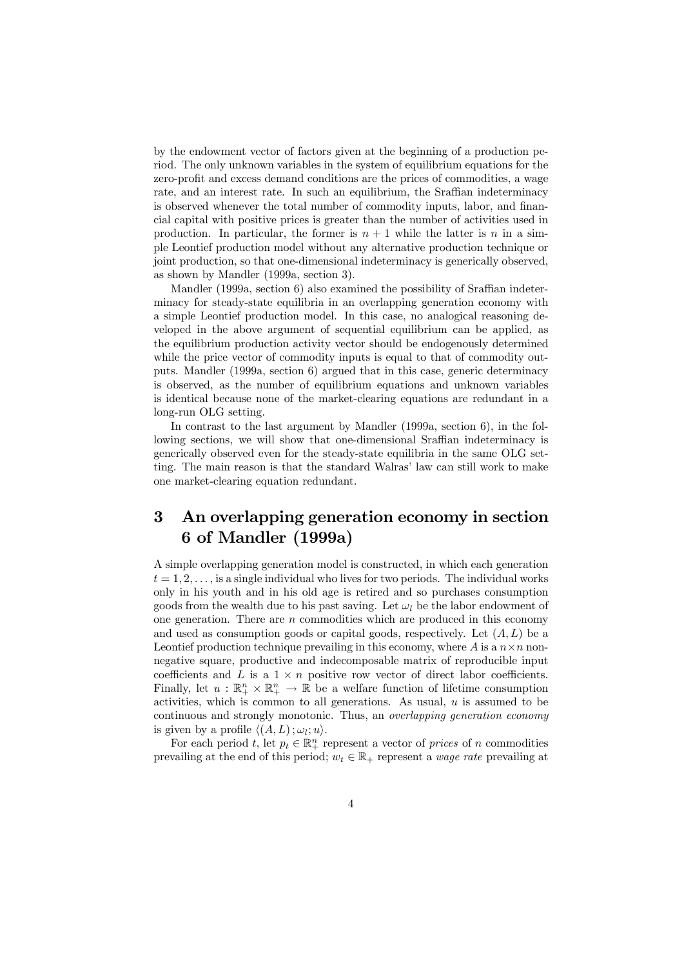by the endowment vector of factors given at the beginning of a production period. The only unknown variables in the system of equilibrium equations for the zero-profit and excess demand conditions are the prices of commodities, a wage rate, and an interest rate. In such an equilibrium, the Sraffian indeterminacy is observed whenever the total number of commodity inputs, labor, and financial capital with positive prices is greater than the number of activities used in production. In particular, the former is  $n + 1$  while the latter is n in a simple Leontief production model without any alternative production technique or joint production, so that one-dimensional indeterminacy is generically observed, as shown by Mandler (1999a, section 3).

Mandler (1999a, section 6) also examined the possibility of Sraffian indeterminacy for steady-state equilibria in an overlapping generation economy with a simple Leontief production model. In this case, no analogical reasoning developed in the above argument of sequential equilibrium can be applied, as the equilibrium production activity vector should be endogenously determined while the price vector of commodity inputs is equal to that of commodity outputs. Mandler (1999a, section 6) argued that in this case, generic determinacy is observed, as the number of equilibrium equations and unknown variables is identical because none of the market-clearing equations are redundant in a long-run OLG setting.

In contrast to the last argument by Mandler (1999a, section 6), in the following sections, we will show that one-dimensional Sraffian indeterminacy is generically observed even for the steady-state equilibria in the same OLG setting. The main reason is that the standard Walras' law can still work to make one market-clearing equation redundant.

## 3 An overlapping generation economy in section 6 of Mandler (1999a)

A simple overlapping generation model is constructed, in which each generation  $t = 1, 2, \ldots$ , is a single individual who lives for two periods. The individual works only in his youth and in his old age is retired and so purchases consumption goods from the wealth due to his past saving. Let  $\omega_l$  be the labor endowment of one generation. There are  $n$  commodities which are produced in this economy and used as consumption goods or capital goods, respectively. Let  $(A, L)$  be a Leontief production technique prevailing in this economy, where A is a  $n \times n$  nonnegative square, productive and indecomposable matrix of reproducible input coefficients and L is a  $1 \times n$  positive row vector of direct labor coefficients. Finally, let  $u : \mathbb{R}^n_+ \times \mathbb{R}^n_+ \to \mathbb{R}$  be a welfare function of lifetime consumption activities, which is common to all generations. As usual, u is assumed to be continuous and strongly monotonic. Thus, an overlapping generation economy is given by a profile  $\langle (A, L) ; \omega_l; u \rangle$ .

For each period t, let  $p_t \in \mathbb{R}^n_+$  represent a vector of prices of n commodities prevailing at the end of this period;  $w_t \in \mathbb{R}_+$  represent a *wage rate* prevailing at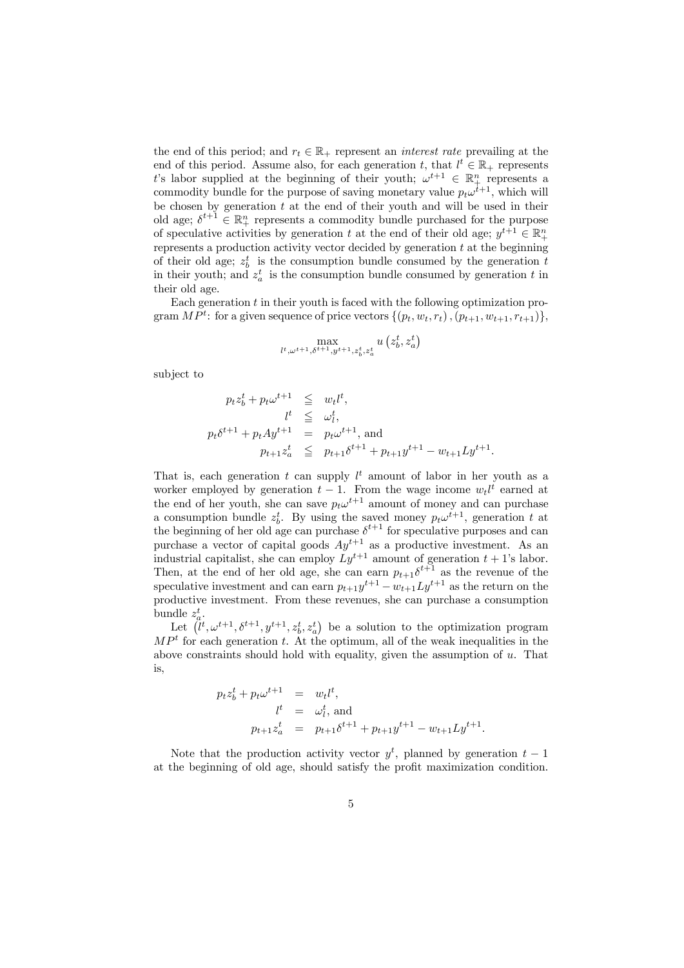the end of this period; and  $r_t \in \mathbb{R}_+$  represent an *interest rate* prevailing at the end of this period. Assume also, for each generation t, that  $l^t \in \mathbb{R}_+$  represents t's labor supplied at the beginning of their youth;  $\omega^{t+1} \in \mathbb{R}^n_+$  represents a commodity bundle for the purpose of saving monetary value  $p_t\omega^{t+1}$ , which will be chosen by generation  $t$  at the end of their youth and will be used in their old age;  $\delta^{t+1} \in \mathbb{R}_+^n$  represents a commodity bundle purchased for the purpose of speculative activities by generation t at the end of their old age;  $y^{t+1} \in \mathbb{R}^n_+$ represents a production activity vector decided by generation  $t$  at the beginning of their old age;  $z_b^t$  is the consumption bundle consumed by the generation t in their youth; and  $z_a^t$  is the consumption bundle consumed by generation t in their old age.

Each generation  $t$  in their youth is faced with the following optimization program  $MP^t$ : for a given sequence of price vectors  $\{(p_t, w_t, r_t), (p_{t+1}, w_{t+1}, r_{t+1})\},\$ 

$$
\max_{l^t, \omega^{t+1}, \delta^{t+1}, y^{t+1}, z_b^t, z_a^t} u\left(z_b^t, z_a^t\right)
$$

subject to

$$
p_t z_b^t + p_t \omega^{t+1} \leq w_t l^t,
$$
  
\n
$$
l^t \leq \omega_l^t,
$$
  
\n
$$
p_t \delta^{t+1} + p_t A y^{t+1} = p_t \omega^{t+1},
$$
 and  
\n
$$
p_{t+1} z_a^t \leq p_{t+1} \delta^{t+1} + p_{t+1} y^{t+1} - w_{t+1} L y^{t+1}.
$$

That is, each generation t can supply  $l^t$  amount of labor in her youth as a worker employed by generation  $t-1$ . From the wage income  $w_t l^t$  earned at the end of her youth, she can save  $p_t\omega^{t+1}$  amount of money and can purchase a consumption bundle  $z_b^t$ . By using the saved money  $p_t\omega^{t+1}$ , generation t at the beginning of her old age can purchase  $\delta^{t+1}$  for speculative purposes and can purchase a vector of capital goods  $Ay^{t+1}$  as a productive investment. As an industrial capitalist, she can employ  $Ly^{t+1}$  amount of generation  $t + 1$ 's labor. Then, at the end of her old age, she can earn  $p_{t+1}\delta^{t+1}$  as the revenue of the speculative investment and can earn  $p_{t+1}y^{t+1} - w_{t+1}Ly^{t+1}$  as the return on the productive investment. From these revenues, she can purchase a consumption bundle  $z_a^t$ .

Let  $(\tilde{l}^t, \omega^{t+1}, \delta^{t+1}, y^{t+1}, z_b^t, z_a^t)$  be a solution to the optimization program  $MP<sup>t</sup>$  for each generation t. At the optimum, all of the weak inequalities in the above constraints should hold with equality, given the assumption of  $u$ . That is,

$$
p_t z_b^t + p_t \omega^{t+1} = w_t l^t,
$$
  
\n
$$
l^t = \omega_t^t, \text{ and}
$$
  
\n
$$
p_{t+1} z_a^t = p_{t+1} \delta^{t+1} + p_{t+1} y^{t+1} - w_{t+1} L y^{t+1}.
$$

Note that the production activity vector  $y^t$ , planned by generation  $t-1$ at the beginning of old age, should satisfy the profit maximization condition.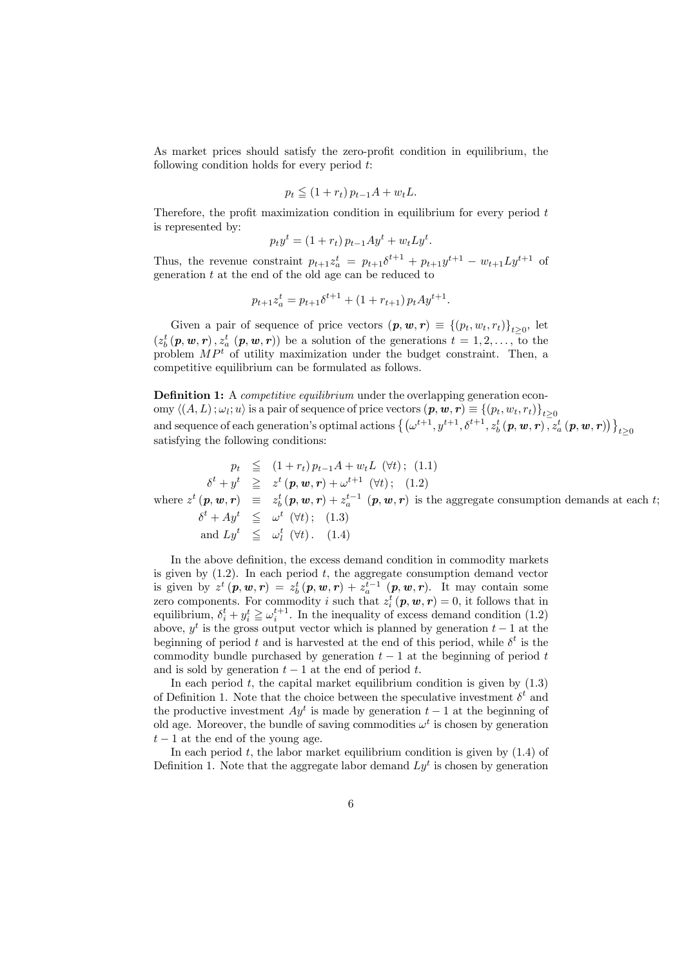As market prices should satisfy the zero-profit condition in equilibrium, the following condition holds for every period  $t$ :

$$
p_t \leq (1 + r_t) p_{t-1} A + w_t L.
$$

Therefore, the profit maximization condition in equilibrium for every period  $t$ is represented by:

$$
p_t y^t = (1 + r_t) p_{t-1} A y^t + w_t L y^t.
$$

Thus, the revenue constraint  $p_{t+1}z_a^t = p_{t+1}\delta^{t+1} + p_{t+1}y^{t+1} - w_{t+1}Ly^{t+1}$  of generation t at the end of the old age can be reduced to

$$
p_{t+1}z_a^t = p_{t+1}\delta^{t+1} + (1 + r_{t+1})p_t A y^{t+1}.
$$

Given a pair of sequence of price vectors  $(p, w, r) \equiv \{(p_t, w_t, r_t)\}_{t>0}$ , let  $(z_b^t(p, w, r), z_a^t(p, w, r))$  be a solution of the generations  $t = 1, 2, \ldots, t$  to the problem  $MP<sup>t</sup>$  of utility maximization under the budget constraint. Then, a competitive equilibrium can be formulated as follows.

Definition 1: A *competitive equilibrium* under the overlapping generation economy  $\langle (A, L) ; \omega_i; u \rangle$  is a pair of sequence of price vectors  $(p, w, r) \equiv \{(p_t, w_t, r_t)\}_{t>0}$ and sequence of each generation's optimal actions  $\left\{ \left( \omega^{t+1}, y^{t+1}, \delta^{t+1}, z_b^t \left( \bm p, \bm w, \bm r \right), \overline{z}_a^t \left( \bm p, \bm w, \bm r \right) \right) \right\}$  $t\geq 0$ satisfying the following conditions:

$$
p_t \leq (1+r_t)p_{t-1}A + w_tL \quad (\forall t); \quad (1.1)
$$
  
\n
$$
\delta^t + y^t \geq z^t \quad (\mathbf{p}, \mathbf{w}, \mathbf{r}) + \omega^{t+1} \quad (\forall t); \quad (1.2)
$$
  
\nwhere  $z^t \quad (\mathbf{p}, \mathbf{w}, \mathbf{r}) \equiv z_b^t \quad (\mathbf{p}, \mathbf{w}, \mathbf{r}) + z_a^{t-1} \quad (\mathbf{p}, \mathbf{w}, \mathbf{r}) \text{ is the aggregate consumption demands at each } t;$   
\n
$$
\delta^t + Ay^t \leq \omega^t \quad (\forall t); \quad (1.3)
$$
  
\nand  $Ly^t \leq \omega_t^t \quad (\forall t).$  (1.4)

In the above definition, the excess demand condition in commodity markets is given by  $(1.2)$ . In each period t, the aggregate consumption demand vector is given by  $z^t(p, w, r) = z^t_b(p, w, r) + z^{t-1}_a(p, w, r)$ . It may contain some zero components. For commodity i such that  $z_i^t(p, w, r) = 0$ , it follows that in equilibrium,  $\delta_i^t + y_i^t \geq \omega_i^{t+1}$ . In the inequality of excess demand condition (1.2) above,  $y^t$  is the gross output vector which is planned by generation  $t - 1$  at the beginning of period t and is harvested at the end of this period, while  $\delta^t$  is the commodity bundle purchased by generation  $t - 1$  at the beginning of period t and is sold by generation  $t - 1$  at the end of period t.

In each period  $t$ , the capital market equilibrium condition is given by  $(1.3)$ of Definition 1. Note that the choice between the speculative investment  $\delta^t$  and the productive investment  $Ay^t$  is made by generation  $t-1$  at the beginning of old age. Moreover, the bundle of saving commodities  $\omega^t$  is chosen by generation  $t-1$  at the end of the young age.

In each period  $t$ , the labor market equilibrium condition is given by  $(1.4)$  of Definition 1. Note that the aggregate labor demand  $Ly<sup>t</sup>$  is chosen by generation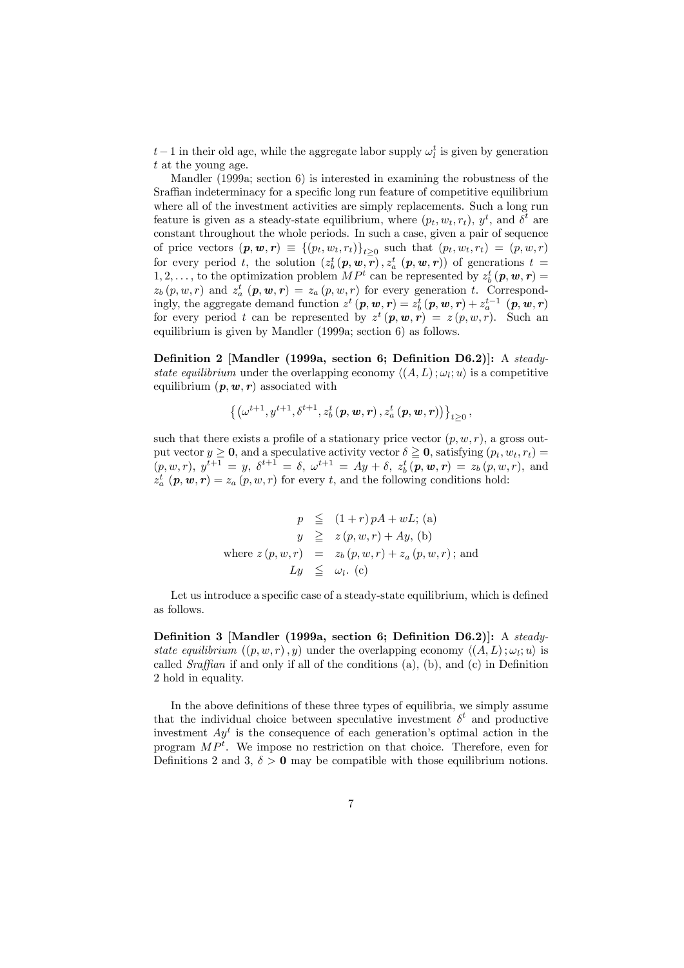$t-1$  in their old age, while the aggregate labor supply  $\omega_l^t$  is given by generation t at the young age.

Mandler (1999a; section 6) is interested in examining the robustness of the Sraffian indeterminacy for a specific long run feature of competitive equilibrium where all of the investment activities are simply replacements. Such a long run feature is given as a steady-state equilibrium, where  $(p_t, w_t, r_t)$ ,  $y^t$ , and  $\delta^t$  are constant throughout the whole periods. In such a case, given a pair of sequence of price vectors  $(p, w, r) \equiv \{(p_t, w_t, r_t)\}_{t>0}$  such that  $(p_t, w_t, r_t) = (p, w, r)$ for every period t, the solution  $(z_b^t(p, w, r), z_a^t(p, w, r))$  of generations  $t =$  $1, 2, \ldots$ , to the optimization problem  $MP<sup>t</sup>$  can be represented by  $z<sub>b</sub><sup>t</sup>$  (**p**, **w**, **r**) =  $z_b(p, w, r)$  and  $z_a^t(p, w, r) = z_a(p, w, r)$  for every generation t. Correspondingly, the aggregate demand function  $z^t$   $(p, w, r) = z_b^t (p, w, r) + z_a^{t-1} (p, w, r)$ for every period t can be represented by  $z^t$   $(p, w, r) = z (p, w, r)$ . Such an equilibrium is given by Mandler (1999a; section 6) as follows.

Definition 2 [Mandler (1999a, section 6; Definition D6.2)]: A steadystate equilibrium under the overlapping economy  $\langle (A, L) ; \omega_l; u \rangle$  is a competitive equilibrium  $(p, w, r)$  associated with

$$
\left\{ \left( \omega^{t+1}, y^{t+1}, \delta^{t+1}, z_b^t(p, \mathbf{w}, \mathbf{r}), z_a^t(p, \mathbf{w}, \mathbf{r}) \right) \right\}_{t \geq 0},
$$

such that there exists a profile of a stationary price vector  $(p, w, r)$ , a gross output vector  $y \ge 0$ , and a speculative activity vector  $\delta \ge 0$ , satisfying  $(p_t, w_t, r_t) =$  $(p, w, r)$ ,  $y^{t+1} = y$ ,  $\delta^{t+1} = \delta$ ,  $\omega^{t+1} = Ay + \delta$ ,  $z_b^t(p, w, r) = z_b(p, w, r)$ , and  $z_a^t$   $(p, w, r) = z_a (p, w, r)$  for every t, and the following conditions hold:

$$
p \leq (1+r) pA + wL; \text{ (a)}
$$
  
\n
$$
y \geq z(p, w, r) + Ay, \text{ (b)}
$$
  
\nwhere  $z(p, w, r) = z_b(p, w, r) + z_a(p, w, r)$ ; and  
\n
$$
Ly \leq \omega_l. \text{ (c)}
$$

Let us introduce a specific case of a steady-state equilibrium, which is defined as follows.

Definition 3 [Mandler (1999a, section 6; Definition D6.2)]: A steadystate equilibrium  $((p, w, r), y)$  under the overlapping economy  $\langle (A, L) : \omega_l : u \rangle$  is called *Sraffian* if and only if all of the conditions  $(a)$ ,  $(b)$ , and  $(c)$  in Definition 2 hold in equality.

In the above definitions of these three types of equilibria, we simply assume that the individual choice between speculative investment  $\delta^t$  and productive investment  $Ay^t$  is the consequence of each generation's optimal action in the program  $MP<sup>t</sup>$ . We impose no restriction on that choice. Therefore, even for Definitions 2 and 3,  $\delta > 0$  may be compatible with those equilibrium notions.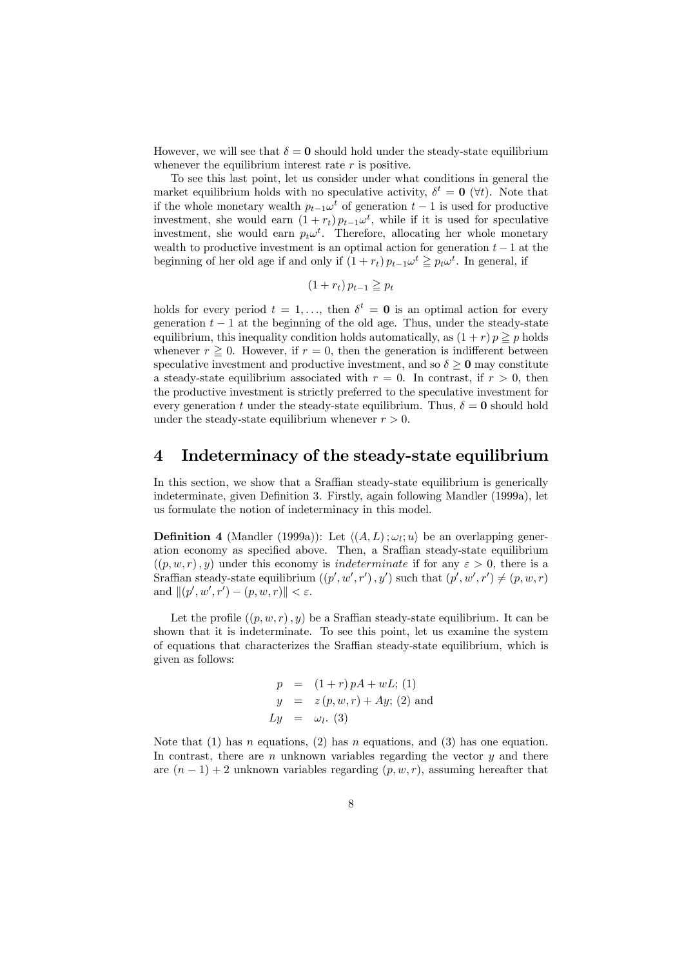However, we will see that  $\delta = 0$  should hold under the steady-state equilibrium whenever the equilibrium interest rate  $r$  is positive.

To see this last point, let us consider under what conditions in general the market equilibrium holds with no speculative activity,  $\delta^t = 0$  ( $\forall t$ ). Note that if the whole monetary wealth  $p_{t-1}ω^t$  of generation  $t-1$  is used for productive investment, she would earn  $(1 + r_t) p_{t-1} \omega^t$ , while if it is used for speculative investment, she would earn  $p_t\omega^t$ . Therefore, allocating her whole monetary wealth to productive investment is an optimal action for generation  $t-1$  at the beginning of her old age if and only if  $(1 + r_t) p_{t-1} \omega^t \geq p_t \omega^t$ . In general, if

$$
(1 + r_t) p_{t-1} \geqq p_t
$$

holds for every period  $t = 1, \ldots$ , then  $\delta^t = 0$  is an optimal action for every generation  $t - 1$  at the beginning of the old age. Thus, under the steady-state equilibrium, this inequality condition holds automatically, as  $(1 + r) p \geq p$  holds whenever  $r \geq 0$ . However, if  $r = 0$ , then the generation is indifferent between speculative investment and productive investment, and so  $\delta \geq 0$  may constitute a steady-state equilibrium associated with  $r = 0$ . In contrast, if  $r > 0$ , then the productive investment is strictly preferred to the speculative investment for every generation t under the steady-state equilibrium. Thus,  $\delta = 0$  should hold under the steady-state equilibrium whenever  $r > 0$ .

### 4 Indeterminacy of the steady-state equilibrium

In this section, we show that a Sraffian steady-state equilibrium is generically indeterminate, given Definition 3. Firstly, again following Mandler (1999a), let us formulate the notion of indeterminacy in this model.

**Definition 4** (Mandler (1999a)): Let  $\langle (A, L) ; \omega_l; u \rangle$  be an overlapping generation economy as specified above. Then, a Sraffian steady-state equilibrium  $((p, w, r), y)$  under this economy is *indeterminate* if for any  $\varepsilon > 0$ , there is a Sraffian steady-state equilibrium  $((p', w', r'), y')$  such that  $(p', w', r') \neq (p, w, r)$ and  $\|(p', w', r') - (p, w, r)\| < \varepsilon$ .

Let the profile  $((p, w, r), y)$  be a Sraffian steady-state equilibrium. It can be shown that it is indeterminate. To see this point, let us examine the system of equations that characterizes the Sraffian steady-state equilibrium, which is given as follows:

$$
p = (1+r) pA + wL; (1)
$$
  
\n
$$
y = z(p, w, r) + Ay; (2)
$$
 and  
\n
$$
Ly = \omega_l.
$$
 (3)

Note that (1) has n equations, (2) has n equations, and (3) has one equation. In contrast, there are  $n$  unknown variables regarding the vector  $y$  and there are  $(n-1)+2$  unknown variables regarding  $(p, w, r)$ , assuming hereafter that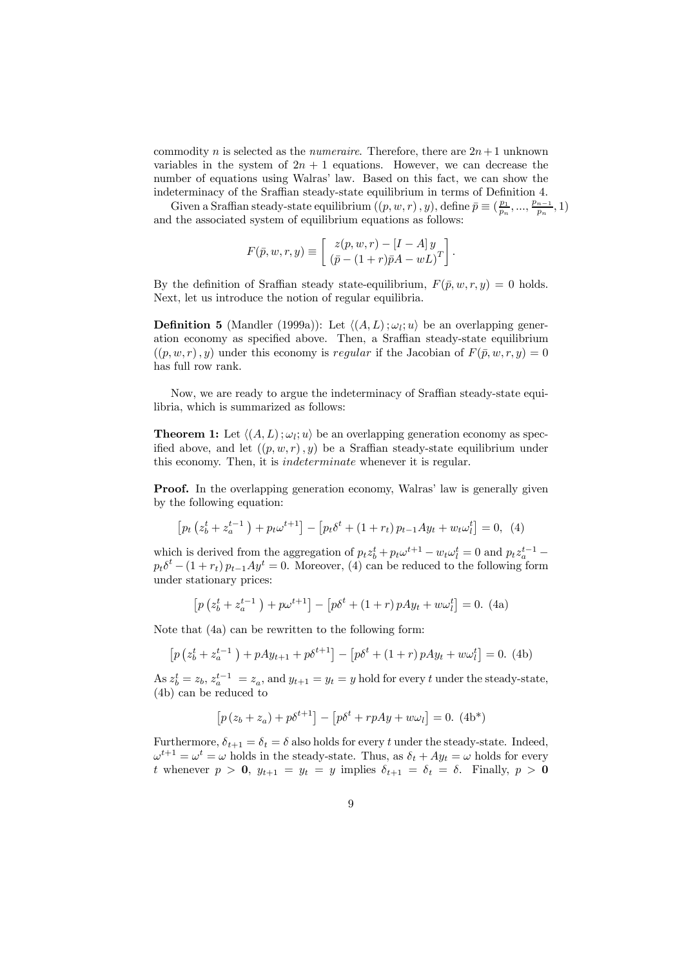commodity n is selected as the numeraire. Therefore, there are  $2n+1$  unknown variables in the system of  $2n + 1$  equations. However, we can decrease the number of equations using Walras' law. Based on this fact, we can show the indeterminacy of the Sraffian steady-state equilibrium in terms of Definition 4.

Given a Sraffian steady-state equilibrium  $((p, w, r), y)$ , define  $\bar{p} \equiv (\frac{p_1}{p_n}, ..., \frac{p_{n-1}}{p_n}, 1)$ and the associated system of equilibrium equations as follows:

$$
F(\bar{p}, w, r, y) \equiv \begin{bmatrix} z(p, w, r) - [I - A] y \\ (\bar{p} - (1+r)\bar{p}A - wL)^T \end{bmatrix}.
$$

By the definition of Sraffian steady state-equilibrium,  $F(\bar{p}, w, r, y)=0$  holds. Next, let us introduce the notion of regular equilibria.

**Definition 5** (Mandler (1999a)): Let  $\langle (A, L) ; \omega_l; u \rangle$  be an overlapping generation economy as specified above. Then, a Sraffian steady-state equilibrium  $((p, w, r), y)$  under this economy is regular if the Jacobian of  $F(\bar{p}, w, r, y)=0$ has full row rank.

Now, we are ready to argue the indeterminacy of Sraffian steady-state equilibria, which is summarized as follows:

**Theorem 1:** Let  $\langle (A, L) ; \omega_l; u \rangle$  be an overlapping generation economy as specified above, and let  $((p, w, r), y)$  be a Sraffian steady-state equilibrium under this economy. Then, it is indeterminate whenever it is regular.

Proof. In the overlapping generation economy, Walras' law is generally given by the following equation:

$$
\left[p_t\left(z_b^t + z_a^{t-1}\right) + p_t\omega^{t+1}\right] - \left[p_t\delta^t + (1+r_t)p_{t-1}Ay_t + w_t\omega_t^t\right] = 0, \tag{4}
$$

which is derived from the aggregation of  $p_t z_b^t + p_t \omega^{t+1} - w_t \omega_l^t = 0$  and  $p_t z_a^{t-1} - \omega_a$  $p_t\delta^t - (1 + r_t)p_{t-1}Ay^t = 0$ . Moreover, (4) can be reduced to the following form under stationary prices:

$$
\left[p\left(z_b^t + z_a^{t-1}\right) + p\omega^{t+1}\right] - \left[p\delta^t + (1+r)pA y_t + w\omega_t^t\right] = 0. \tag{4a}
$$

Note that (4a) can be rewritten to the following form:

$$
\left[ p\left(z_b^t + z_a^{t-1}\right) + pAy_{t+1} + p\delta^{t+1} \right] - \left[ p\delta^t + (1+r)pAy_t + w\omega_t^t \right] = 0. \tag{4b}
$$

As  $z_b^t = z_b$ ,  $z_a^{t-1} = z_a$ , and  $y_{t+1} = y_t = y$  hold for every t under the steady-state, (4b) can be reduced to

$$
[p(z_b + z_a) + p\delta^{t+1}] - [p\delta^t + rpAy + w\omega_l] = 0.
$$
 (4b\*)

Furthermore,  $\delta_{t+1} = \delta_t = \delta$  also holds for every t under the steady-state. Indeed,  $\omega^{t+1} = \omega^t = \omega$  holds in the steady-state. Thus, as  $\delta_t + Ay_t = \omega$  holds for every t whenever  $p > 0$ ,  $y_{t+1} = y_t = y$  implies  $\delta_{t+1} = \delta_t = \delta$ . Finally,  $p > 0$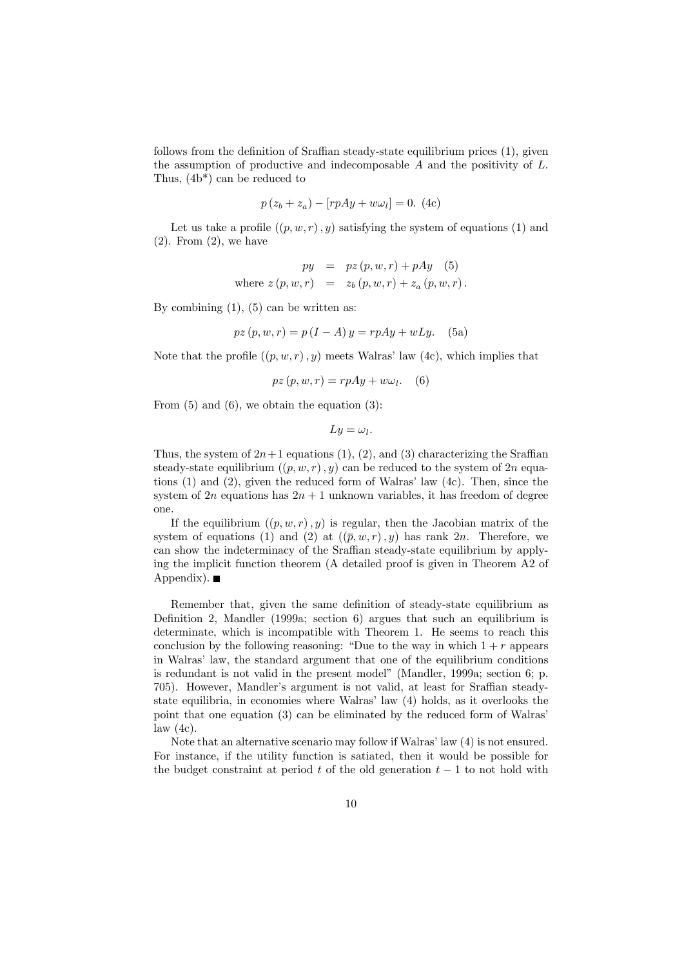follows from the definition of Sraffian steady-state equilibrium prices (1), given the assumption of productive and indecomposable  $A$  and the positivity of  $L$ . Thus, (4b\*) can be reduced to

$$
p(z_b + z_a) - [rpAy + w\omega_l] = 0. \text{ (4c)}
$$

Let us take a profile  $((p, w, r), y)$  satisfying the system of equations (1) and  $(2)$ . From  $(2)$ , we have

$$
py = pz(p, w, r) + pAy
$$
 (5)  
where  $z(p, w, r) = z_b(p, w, r) + z_a(p, w, r)$ .

By combining  $(1)$ ,  $(5)$  can be written as:

$$
pz(p, w, r) = p(I - A)y = rpAy + wLy.
$$
 (5a)

Note that the profile  $((p, w, r), y)$  meets Walras' law  $(4c)$ , which implies that

$$
pz(p, w, r) = rpAy + w\omega_l. \quad (6)
$$

From  $(5)$  and  $(6)$ , we obtain the equation  $(3)$ :

$$
Ly = \omega_l.
$$

Thus, the system of  $2n+1$  equations (1), (2), and (3) characterizing the Sraffian steady-state equilibrium  $((p, w, r), y)$  can be reduced to the system of 2n equations (1) and (2), given the reduced form of Walras' law (4c). Then, since the system of  $2n$  equations has  $2n + 1$  unknown variables, it has freedom of degree one.

If the equilibrium  $((p, w, r), y)$  is regular, then the Jacobian matrix of the system of equations (1) and (2) at  $((\overline{p}, w, r), y)$  has rank 2n. Therefore, we can show the indeterminacy of the Sraffian steady-state equilibrium by applying the implicit function theorem (A detailed proof is given in Theorem A2 of Appendix).  $\blacksquare$ 

Remember that, given the same definition of steady-state equilibrium as Definition 2, Mandler (1999a; section 6) argues that such an equilibrium is determinate, which is incompatible with Theorem 1. He seems to reach this conclusion by the following reasoning: "Due to the way in which  $1 + r$  appears in Walras' law, the standard argument that one of the equilibrium conditions is redundant is not valid in the present model" (Mandler, 1999a; section 6; p. 705). However, Mandler's argument is not valid, at least for Sraffian steadystate equilibria, in economies where Walras' law (4) holds, as it overlooks the point that one equation (3) can be eliminated by the reduced form of Walras' law  $(4c)$ .

Note that an alternative scenario may follow if Walras' law (4) is not ensured. For instance, if the utility function is satiated, then it would be possible for the budget constraint at period t of the old generation  $t-1$  to not hold with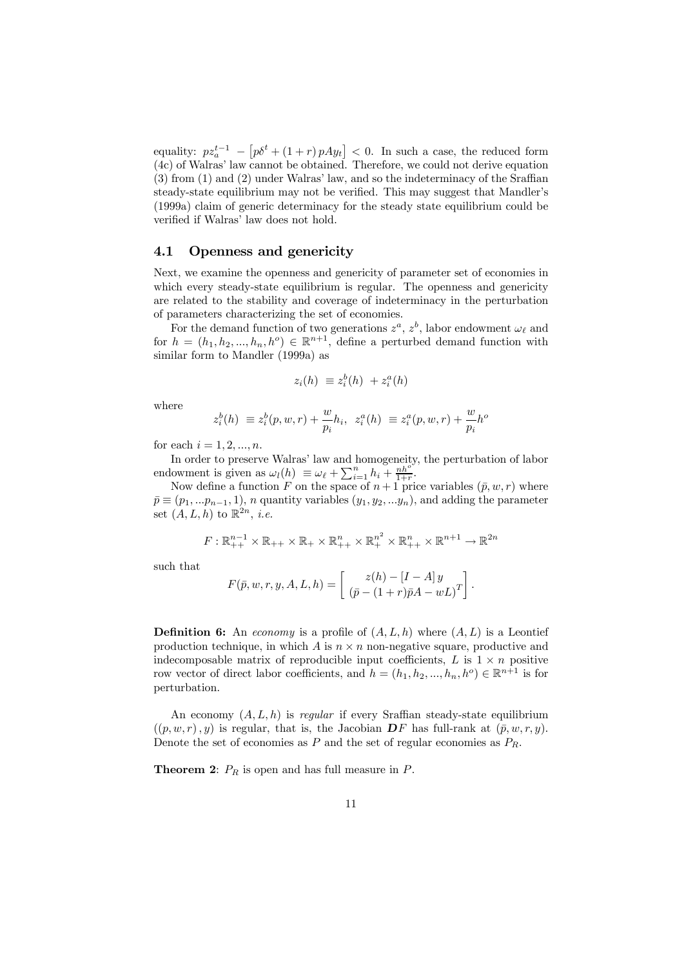equality:  $pz_a^{t-1} - [p\delta^t + (1+r)pAy_t] < 0$ . In such a case, the reduced form (4c) of Walras' law cannot be obtained. Therefore, we could not derive equation (3) from (1) and (2) under Walras' law, and so the indeterminacy of the Sraffian steady-state equilibrium may not be verified. This may suggest that Mandler's (1999a) claim of generic determinacy for the steady state equilibrium could be verified if Walras' law does not hold.

#### 4.1 Openness and genericity

Next, we examine the openness and genericity of parameter set of economies in which every steady-state equilibrium is regular. The openness and genericity are related to the stability and coverage of indeterminacy in the perturbation of parameters characterizing the set of economies.

For the demand function of two generations  $z^a$ ,  $z^b$ , labor endowment  $\omega_\ell$  and for  $h = (h_1, h_2, ..., h_n, h^o) \in \mathbb{R}^{n+1}$ , define a perturbed demand function with similar form to Mandler (1999a) as

$$
z_i(h) \equiv z_i^b(h) + z_i^a(h)
$$

where

$$
z_i^b(h) \equiv z_i^b(p, w, r) + \frac{w}{p_i}h_i, \ z_i^a(h) \equiv z_i^a(p, w, r) + \frac{w}{p_i}h^o
$$

for each  $i = 1, 2, ..., n$ .

In order to preserve Walras' law and homogeneity, the perturbation of labor endowment is given as  $\omega_l(h) \equiv \omega_{\ell} + \sum_{i=1}^n h_i + \frac{nh^o}{1+r}$ .

Now define a function F on the space of  $n+1$  price variables  $(\bar{p}, w, r)$  where  $\bar{p} \equiv (p_1, \ldots, p_{n-1}, 1), n$  quantity variables  $(y_1, y_2, \ldots, y_n)$ , and adding the parameter set  $(A, L, h)$  to  $\mathbb{R}^{2n}$ , *i.e.* 

$$
F: \mathbb{R}_{++}^{n-1} \times \mathbb{R}_{++} \times \mathbb{R}_{+} \times \mathbb{R}_{++}^{n} \times \mathbb{R}_{+}^{n^{2}} \times \mathbb{R}_{++}^{n} \times \mathbb{R}^{n+1} \to \mathbb{R}^{2n}
$$

such that

$$
F(\bar{p}, w, r, y, A, L, h) = \begin{bmatrix} z(h) - [I - A]y \\ (\bar{p} - (1+r)\bar{p}A - wL)^T \end{bmatrix}.
$$

**Definition 6:** An economy is a profile of  $(A, L, h)$  where  $(A, L)$  is a Leontief production technique, in which  $A$  is  $n \times n$  non-negative square, productive and indecomposable matrix of reproducible input coefficients,  $L$  is  $1 \times n$  positive row vector of direct labor coefficients, and  $h = (h_1, h_2, ..., h_n, h^o) \in \mathbb{R}^{n+1}$  is for perturbation.

An economy  $(A, L, h)$  is regular if every Sraffian steady-state equilibrium  $((p, w, r), y)$  is regular, that is, the Jacobian DF has full-rank at  $(\bar{p}, w, r, y)$ . Denote the set of economies as P and the set of regular economies as  $P_R$ .

**Theorem 2:**  $P_R$  is open and has full measure in  $P$ .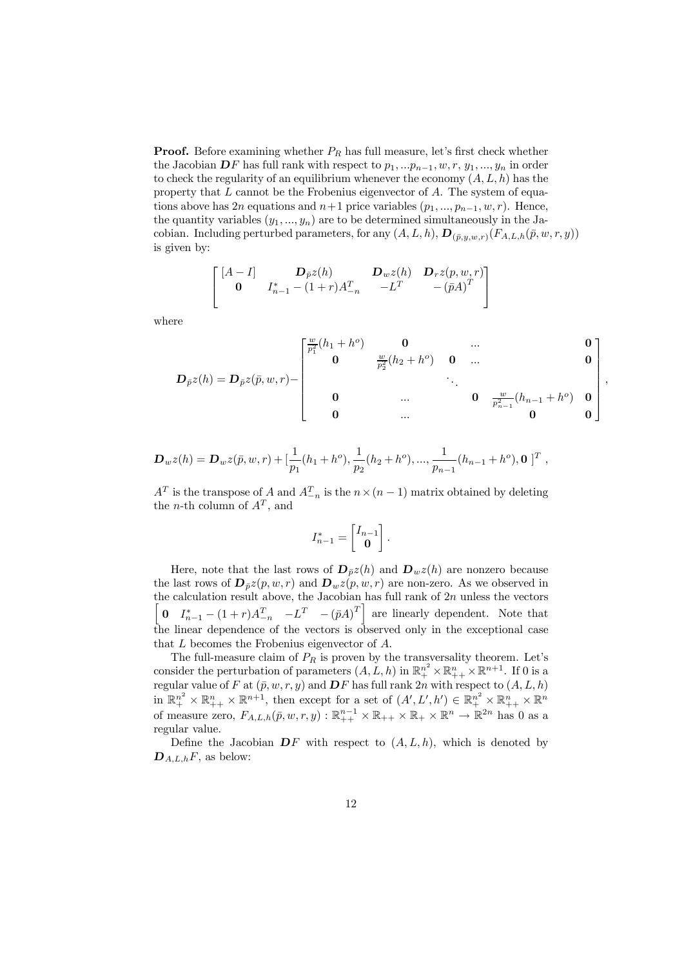**Proof.** Before examining whether  $P_R$  has full measure, let's first check whether the Jacobian  $\mathbf{D}F$  has full rank with respect to  $p_1, \ldots, p_{n-1}, w, r, y_1, \ldots, y_n$  in order to check the regularity of an equilibrium whenever the economy  $(A, L, h)$  has the property that  $L$  cannot be the Frobenius eigenvector of  $A$ . The system of equations above has 2n equations and  $n+1$  price variables  $(p_1, ..., p_{n-1}, w, r)$ . Hence, the quantity variables  $(y_1, ..., y_n)$  are to be determined simultaneously in the Jacobian. Including perturbed parameters, for any  $(A, L, h), D_{(\bar{p},y,w,r)}(F_{A,L,h}(\bar{p}, w, r, y))$ is given by:

$$
\begin{bmatrix}\n[A-I] & \mathbf{D}_{\bar{p}}z(h) & \mathbf{D}_w z(h) & \mathbf{D}_r z(p, w, r) \\
\mathbf{0} & I_{n-1}^* - (1+r)A_{-n}^T & -L^T & -(\bar{p}A)^T\n\end{bmatrix}
$$

where

$$
\begin{bmatrix} \frac{w}{p_1^2}(h_1 + h^o) & \mathbf{0} & \dots & \mathbf{0} \\ \mathbf{0} & \frac{w}{p_2^2}(h_2 + h^o) & \mathbf{0} & \dots & \mathbf{0} \end{bmatrix}
$$

$$
D_{\bar{p}}z(h) = D_{\bar{p}}z(\bar{p}, w, r) - \begin{bmatrix} 0 & \frac{w}{p_2^2}(h_2 + h^0) & 0 & \dots & 0 \\ & & \ddots & & \\ 0 & & \dots & 0 & \frac{w}{p_{n-1}^2}(h_{n-1} + h^0) & 0 \\ 0 & & \dots & 0 & 0 \end{bmatrix},
$$

$$
\mathbf{D}_w z(h) = \mathbf{D}_w z(\bar{p}, w, r) + \left[\frac{1}{p_1}(h_1 + h^o), \frac{1}{p_2}(h_2 + h^o), \dots, \frac{1}{p_{n-1}}(h_{n-1} + h^o), \mathbf{0}\right]^T,
$$

 $A<sup>T</sup>$  is the transpose of A and  $A<sup>T</sup><sub>-n</sub>$  is the  $n \times (n-1)$  matrix obtained by deleting the *n*-th column of  $A<sup>T</sup>$ , and

$$
I_{n-1}^*=\begin{bmatrix}I_{n-1}\\ \mathbf{0}\end{bmatrix}.
$$

Here, note that the last rows of  $\mathbf{D}_{\bar{p}}z(h)$  and  $\mathbf{D}_{w}z(h)$  are nonzero because the last rows of  $\mathbf{D}_{\bar{p}}z(p,w,r)$  and  $\mathbf{D}_{w}z(p,w,r)$  are non-zero. As we observed in the calculation result above, the Jacobian has full rank of  $2n$  unless the vectors  $\sqrt{ }$ 0  $I_{n-1}^* - (1+r)A_{-n}^T - (pA)^T$  are linearly dependent. Note that the linear dependence of the vectors is observed only in the exceptional case that  $L$  becomes the Frobenius eigenvector of  $A$ .

The full-measure claim of  $P_R$  is proven by the transversality theorem. Let's consider the perturbation of parameters  $(A, L, h)$  in  $\mathbb{R}^{n^2} \times \mathbb{R}^{n}_+ \times \mathbb{R}^{n+1}$ . If 0 is a regular value of F at  $(\bar{p}, w, r, y)$  and  $\bm{D}F$  has full rank  $2n$  with respect to  $(A, L, h)$ in  $\mathbb{R}^{n^2}$   $\times$   $\mathbb{R}^{n}$  +  $\times$   $\mathbb{R}^{n+1}$ , then except for a set of  $(A', L', h') \in \mathbb{R}^{n^2}$   $\times$   $\mathbb{R}^{n}$  +  $\times$   $\mathbb{R}^{n}$ of measure zero,  $F_{A,L,h}(\bar{p}, w, r, y) : \mathbb{R}_{++}^{n-1} \times \mathbb{R}_{++} \times \mathbb{R}_{+} \times \mathbb{R}^{n} \to \mathbb{R}^{2n}$  has 0 as a regular value.

Define the Jacobian  $\mathbf{D}F$  with respect to  $(A, L, h)$ , which is denoted by  $\mathbf{D}_{A,L,h}F$ , as below: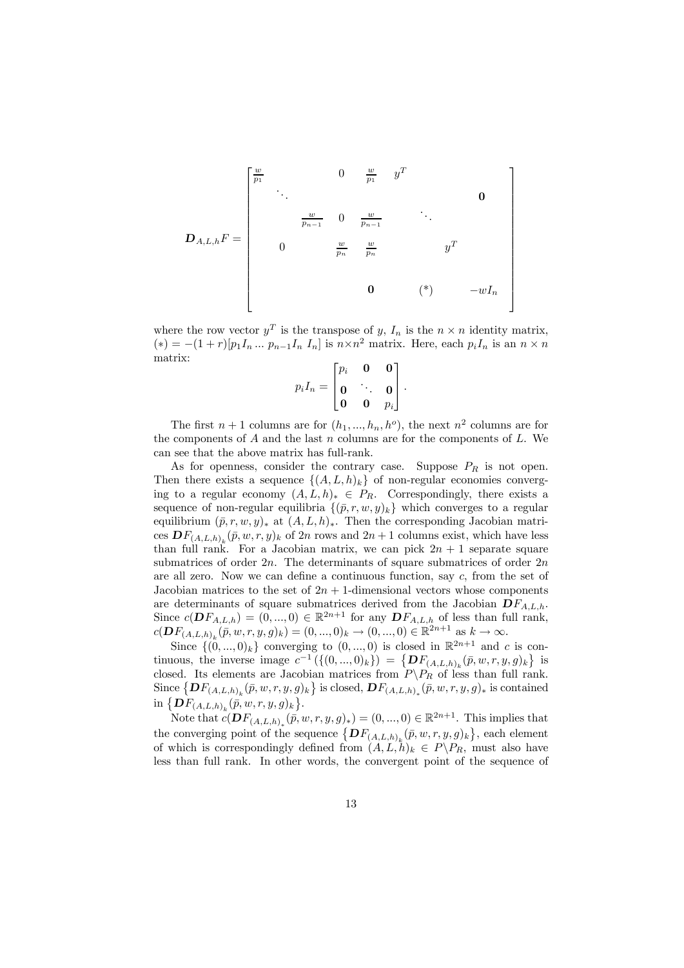DA,L,hF = ⎡ ⎢ ⎢ ⎢ ⎢ ⎢ ⎢ ⎢ ⎢ ⎢ ⎢ ⎢ ⎢ ⎢ ⎢ ⎢ ⎣ w <sup>p</sup><sup>1</sup> <sup>0</sup> <sup>w</sup> <sup>p</sup><sup>1</sup> <sup>y</sup><sup>T</sup> ... <sup>0</sup> w <sup>p</sup>n−<sup>1</sup> <sup>0</sup> <sup>w</sup> pn−<sup>1</sup> ... 0 <sup>w</sup> p<sup>n</sup> w <sup>p</sup><sup>n</sup> <sup>y</sup><sup>T</sup> 0 (\*) −wI<sup>n</sup> ⎤ ⎥ ⎥ ⎥ ⎥ ⎥ ⎥ ⎥ ⎥ ⎥ ⎥ ⎥ ⎥ ⎥ ⎥ ⎥ ⎦

where the row vector  $y^T$  is the transpose of y,  $I_n$  is the  $n \times n$  identity matrix,  $(*) = -(1+r)[p_1I_n \dots p_{n-1}I_n I_n]$  is  $n \times n^2$  matrix. Here, each  $p_iI_n$  is an  $n \times n$ matrix:

$$
p_i I_n = \begin{bmatrix} p_i & \mathbf{0} & \mathbf{0} \\ \mathbf{0} & \ddots & \mathbf{0} \\ \mathbf{0} & \mathbf{0} & p_i \end{bmatrix}.
$$

The first  $n + 1$  columns are for  $(h_1, ..., h_n, h^o)$ , the next  $n^2$  columns are for the components of  $A$  and the last  $n$  columns are for the components of  $L$ . We can see that the above matrix has full-rank.

As for openness, consider the contrary case. Suppose  $P_R$  is not open. Then there exists a sequence  $\{(A, L, h)_{k}\}\$  of non-regular economies converging to a regular economy  $(A, L, h)_* \in P_R$ . Correspondingly, there exists a sequence of non-regular equilibria  $\{(\bar{p}, r, w, y)_k\}$  which converges to a regular equilibrium  $(\bar{p}, r, w, y)_*$  at  $(A, L, h)_*.$  Then the corresponding Jacobian matrices  $DF_{(A,L,h)_k}(\bar{p}, w, r, y)_k$  of  $2n$  rows and  $2n + 1$  columns exist, which have less than full rank. For a Jacobian matrix, we can pick  $2n + 1$  separate square submatrices of order  $2n$ . The determinants of square submatrices of order  $2n$ are all zero. Now we can define a continuous function, say  $c$ , from the set of Jacobian matrices to the set of  $2n + 1$ -dimensional vectors whose components are determinants of square submatrices derived from the Jacobian  $DF_{A,L,h}$ . Since  $c(\mathbf{D}F_{A,L,h}) = (0, ..., 0) \in \mathbb{R}^{2n+1}$  for any  $\mathbf{D}F_{A,L,h}$  of less than full rank,  $c(\mathbf{D}F_{(A,L,h)_k}(\bar{p}, w, r, y, g)_k) = (0, ..., 0)_k \to (0, ..., 0) \in \mathbb{R}^{2n+1}$  as  $k \to \infty$ .

Since  $\{(0, ..., 0)_k\}$  converging to  $(0, ..., 0)$  is closed in  $\mathbb{R}^{2n+1}$  and c is continuous, the inverse image  $c^{-1}(\{(0,...,0)_k\}) = \{DF_{(A,L,h)_k}(\bar{p}, w, r, y, g)_k\}$  is closed. Its elements are Jacobian matrices from  $P\backslash P_R$  of less than full rank. Since  $\{DF_{(A,L,h)_k}(\bar{p}, w, r, y, g)_k\}$  is closed,  $DF_{(A,L,h)_*}(\bar{p}, w, r, y, g)_*$  is contained in  $\{ {\bf D} F_{(A,L,h)_k}(\vec{\bar p},w,r,y,g)_k \}.$ 

Note that  $c(\mathbf{D}F_{(A,L,h)_*}(\bar{p}, w, r, y, g)_*) = (0, ..., 0) \in \mathbb{R}^{2n+1}$ . This implies that the converging point of the sequence  $\{DF_{(A,L,h)_k}(\bar{p}, w, r, y, g)_k\}$ , each element of which is correspondingly defined from  $(A, L, h)_k \in P \backslash P_R$ , must also have less than full rank. In other words, the convergent point of the sequence of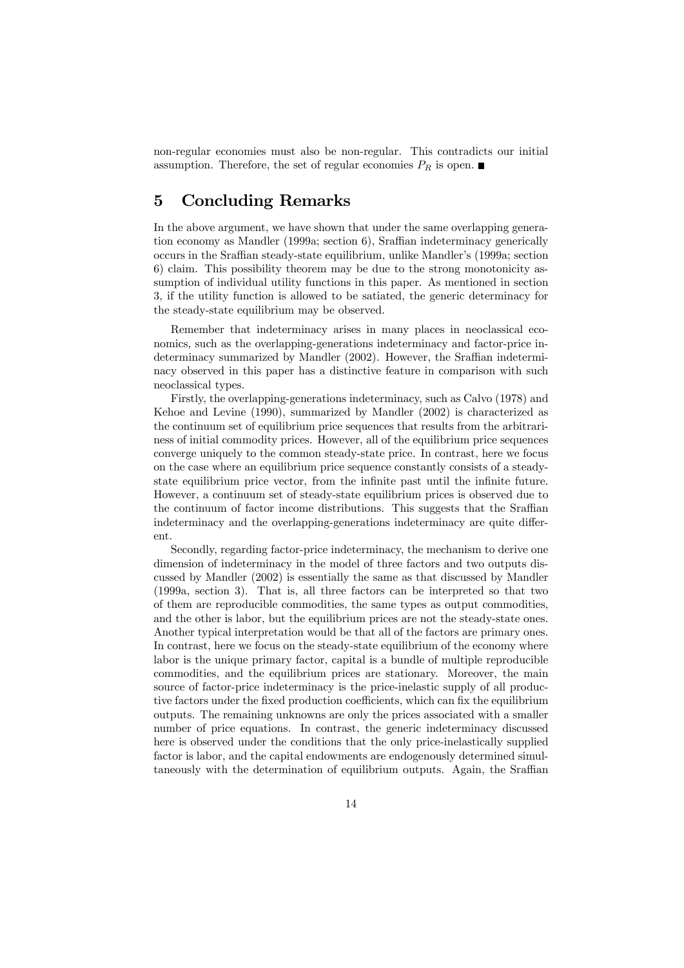non-regular economies must also be non-regular. This contradicts our initial assumption. Therefore, the set of regular economies  $P_R$  is open.

## 5 Concluding Remarks

In the above argument, we have shown that under the same overlapping generation economy as Mandler (1999a; section 6), Sraffian indeterminacy generically occurs in the Sraffian steady-state equilibrium, unlike Mandler's (1999a; section 6) claim. This possibility theorem may be due to the strong monotonicity assumption of individual utility functions in this paper. As mentioned in section 3, if the utility function is allowed to be satiated, the generic determinacy for the steady-state equilibrium may be observed.

Remember that indeterminacy arises in many places in neoclassical economics, such as the overlapping-generations indeterminacy and factor-price indeterminacy summarized by Mandler (2002). However, the Sraffian indeterminacy observed in this paper has a distinctive feature in comparison with such neoclassical types.

Firstly, the overlapping-generations indeterminacy, such as Calvo (1978) and Kehoe and Levine (1990), summarized by Mandler (2002) is characterized as the continuum set of equilibrium price sequences that results from the arbitrariness of initial commodity prices. However, all of the equilibrium price sequences converge uniquely to the common steady-state price. In contrast, here we focus on the case where an equilibrium price sequence constantly consists of a steadystate equilibrium price vector, from the infinite past until the infinite future. However, a continuum set of steady-state equilibrium prices is observed due to the continuum of factor income distributions. This suggests that the Sraffian indeterminacy and the overlapping-generations indeterminacy are quite different.

Secondly, regarding factor-price indeterminacy, the mechanism to derive one dimension of indeterminacy in the model of three factors and two outputs discussed by Mandler (2002) is essentially the same as that discussed by Mandler (1999a, section 3). That is, all three factors can be interpreted so that two of them are reproducible commodities, the same types as output commodities, and the other is labor, but the equilibrium prices are not the steady-state ones. Another typical interpretation would be that all of the factors are primary ones. In contrast, here we focus on the steady-state equilibrium of the economy where labor is the unique primary factor, capital is a bundle of multiple reproducible commodities, and the equilibrium prices are stationary. Moreover, the main source of factor-price indeterminacy is the price-inelastic supply of all productive factors under the fixed production coefficients, which can fix the equilibrium outputs. The remaining unknowns are only the prices associated with a smaller number of price equations. In contrast, the generic indeterminacy discussed here is observed under the conditions that the only price-inelastically supplied factor is labor, and the capital endowments are endogenously determined simultaneously with the determination of equilibrium outputs. Again, the Sraffian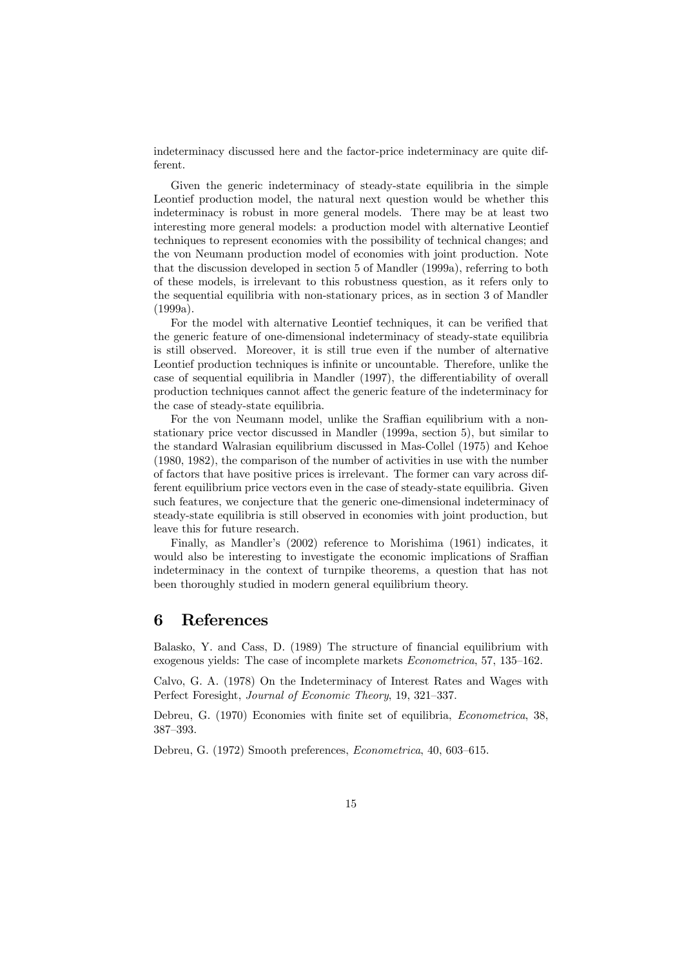indeterminacy discussed here and the factor-price indeterminacy are quite different.

Given the generic indeterminacy of steady-state equilibria in the simple Leontief production model, the natural next question would be whether this indeterminacy is robust in more general models. There may be at least two interesting more general models: a production model with alternative Leontief techniques to represent economies with the possibility of technical changes; and the von Neumann production model of economies with joint production. Note that the discussion developed in section 5 of Mandler (1999a), referring to both of these models, is irrelevant to this robustness question, as it refers only to the sequential equilibria with non-stationary prices, as in section 3 of Mandler (1999a).

For the model with alternative Leontief techniques, it can be verified that the generic feature of one-dimensional indeterminacy of steady-state equilibria is still observed. Moreover, it is still true even if the number of alternative Leontief production techniques is infinite or uncountable. Therefore, unlike the case of sequential equilibria in Mandler (1997), the differentiability of overall production techniques cannot affect the generic feature of the indeterminacy for the case of steady-state equilibria.

For the von Neumann model, unlike the Sraffian equilibrium with a nonstationary price vector discussed in Mandler (1999a, section 5), but similar to the standard Walrasian equilibrium discussed in Mas-Collel (1975) and Kehoe (1980, 1982), the comparison of the number of activities in use with the number of factors that have positive prices is irrelevant. The former can vary across different equilibrium price vectors even in the case of steady-state equilibria. Given such features, we conjecture that the generic one-dimensional indeterminacy of steady-state equilibria is still observed in economies with joint production, but leave this for future research.

Finally, as Mandler's (2002) reference to Morishima (1961) indicates, it would also be interesting to investigate the economic implications of Sraffian indeterminacy in the context of turnpike theorems, a question that has not been thoroughly studied in modern general equilibrium theory.

### 6 References

Balasko, Y. and Cass, D. (1989) The structure of financial equilibrium with exogenous yields: The case of incomplete markets Econometrica, 57, 135—162.

Calvo, G. A. (1978) On the Indeterminacy of Interest Rates and Wages with Perfect Foresight, Journal of Economic Theory, 19, 321—337.

Debreu, G. (1970) Economies with finite set of equilibria, Econometrica, 38, 387—393.

Debreu, G. (1972) Smooth preferences, Econometrica, 40, 603—615.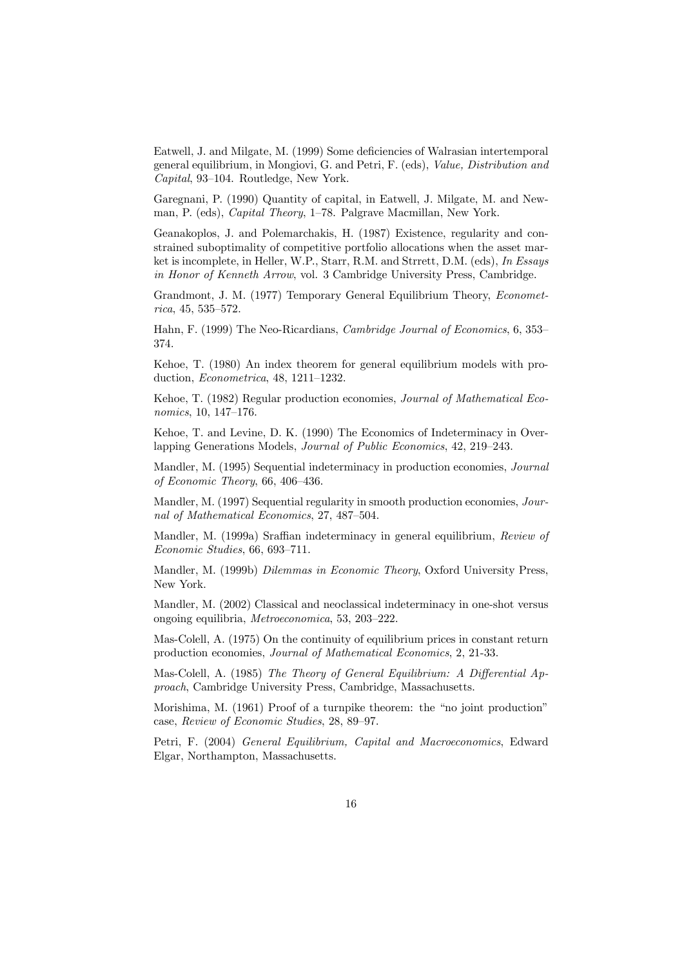Eatwell, J. and Milgate, M. (1999) Some deficiencies of Walrasian intertemporal general equilibrium, in Mongiovi, G. and Petri, F. (eds), Value, Distribution and Capital, 93—104. Routledge, New York.

Garegnani, P. (1990) Quantity of capital, in Eatwell, J. Milgate, M. and Newman, P. (eds), Capital Theory, 1—78. Palgrave Macmillan, New York.

Geanakoplos, J. and Polemarchakis, H. (1987) Existence, regularity and constrained suboptimality of competitive portfolio allocations when the asset market is incomplete, in Heller, W.P., Starr, R.M. and Strrett, D.M. (eds), In Essays in Honor of Kenneth Arrow, vol. 3 Cambridge University Press, Cambridge.

Grandmont, J. M. (1977) Temporary General Equilibrium Theory, Econometrica, 45, 535—572.

Hahn, F. (1999) The Neo-Ricardians, Cambridge Journal of Economics, 6, 353— 374.

Kehoe, T. (1980) An index theorem for general equilibrium models with production, Econometrica, 48, 1211—1232.

Kehoe, T. (1982) Regular production economies, Journal of Mathematical Economics, 10, 147—176.

Kehoe, T. and Levine, D. K. (1990) The Economics of Indeterminacy in Overlapping Generations Models, Journal of Public Economics, 42, 219—243.

Mandler, M. (1995) Sequential indeterminacy in production economies, Journal of Economic Theory, 66, 406—436.

Mandler, M. (1997) Sequential regularity in smooth production economies, Journal of Mathematical Economics, 27, 487—504.

Mandler, M. (1999a) Sraffian indeterminacy in general equilibrium, Review of Economic Studies, 66, 693—711.

Mandler, M. (1999b) Dilemmas in Economic Theory, Oxford University Press, New York.

Mandler, M. (2002) Classical and neoclassical indeterminacy in one-shot versus ongoing equilibria, Metroeconomica, 53, 203—222.

Mas-Colell, A. (1975) On the continuity of equilibrium prices in constant return production economies, Journal of Mathematical Economics, 2, 21-33.

Mas-Colell, A. (1985) The Theory of General Equilibrium: A Differential Approach, Cambridge University Press, Cambridge, Massachusetts.

Morishima, M. (1961) Proof of a turnpike theorem: the "no joint production" case, Review of Economic Studies, 28, 89—97.

Petri, F. (2004) General Equilibrium, Capital and Macroeconomics, Edward Elgar, Northampton, Massachusetts.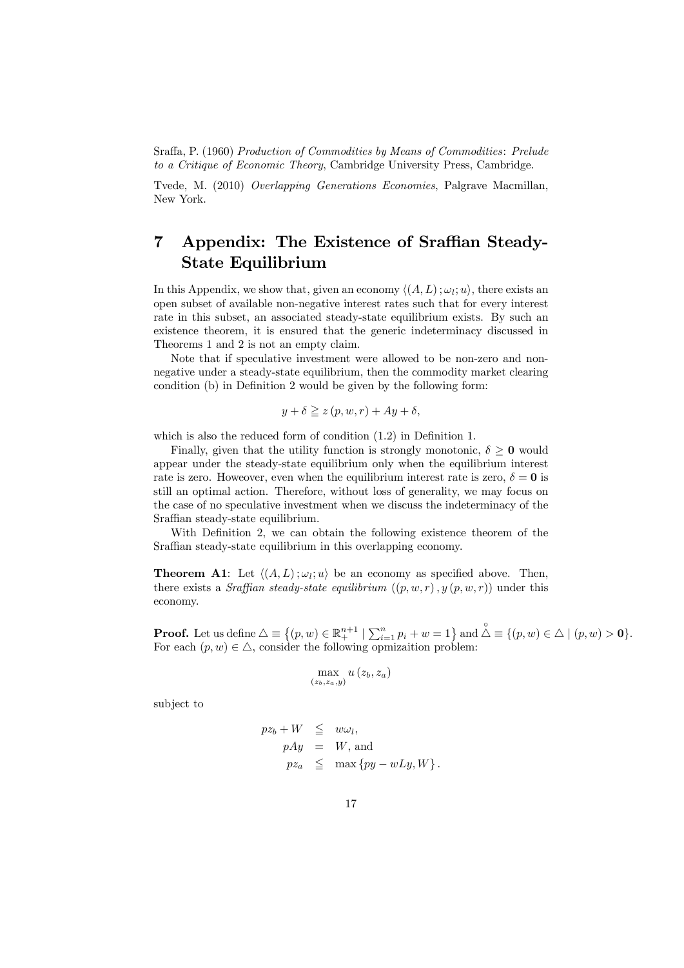Sraffa, P. (1960) Production of Commodities by Means of Commodities: Prelude to a Critique of Economic Theory, Cambridge University Press, Cambridge.

Tvede, M. (2010) Overlapping Generations Economies, Palgrave Macmillan, New York.

## 7 Appendix: The Existence of Sraffian Steady-State Equilibrium

In this Appendix, we show that, given an economy  $\langle (A, L) ; \omega_i; u \rangle$ , there exists an open subset of available non-negative interest rates such that for every interest rate in this subset, an associated steady-state equilibrium exists. By such an existence theorem, it is ensured that the generic indeterminacy discussed in Theorems 1 and 2 is not an empty claim.

Note that if speculative investment were allowed to be non-zero and nonnegative under a steady-state equilibrium, then the commodity market clearing condition (b) in Definition 2 would be given by the following form:

$$
y + \delta \ge z(p, w, r) + Ay + \delta,
$$

which is also the reduced form of condition (1.2) in Definition 1.

Finally, given that the utility function is strongly monotonic,  $\delta \geq 0$  would appear under the steady-state equilibrium only when the equilibrium interest rate is zero. However, even when the equilibrium interest rate is zero,  $\delta = 0$  is still an optimal action. Therefore, without loss of generality, we may focus on the case of no speculative investment when we discuss the indeterminacy of the Sraffian steady-state equilibrium.

With Definition 2, we can obtain the following existence theorem of the Sraffian steady-state equilibrium in this overlapping economy.

**Theorem A1:** Let  $\langle (A, L); \omega_l; u \rangle$  be an economy as specified above. Then, there exists a *Sraffian steady-state equilibrium*  $((p, w, r), y (p, w, r))$  under this economy.

**Proof.** Let us define  $\triangle \equiv \{(p, w) \in \mathbb{R}^{n+1}_+ \mid \sum_{i=1}^n p_i + w = 1\}$  and  $\stackrel{\circ}{\triangle} \equiv \{(p, w) \in \triangle \mid (p, w) > 0\}$ . For each  $(p, w) \in \triangle$ , consider the following opmizaition problem:

$$
\max_{(z_b, z_a, y)} u(z_b, z_a)
$$

subject to

$$
pz_b + W \leqq w\omega_l,
$$
  
\n
$$
pAy = W, \text{ and}
$$
  
\n
$$
pz_a \leqq \max\{py - wLy, W\}.
$$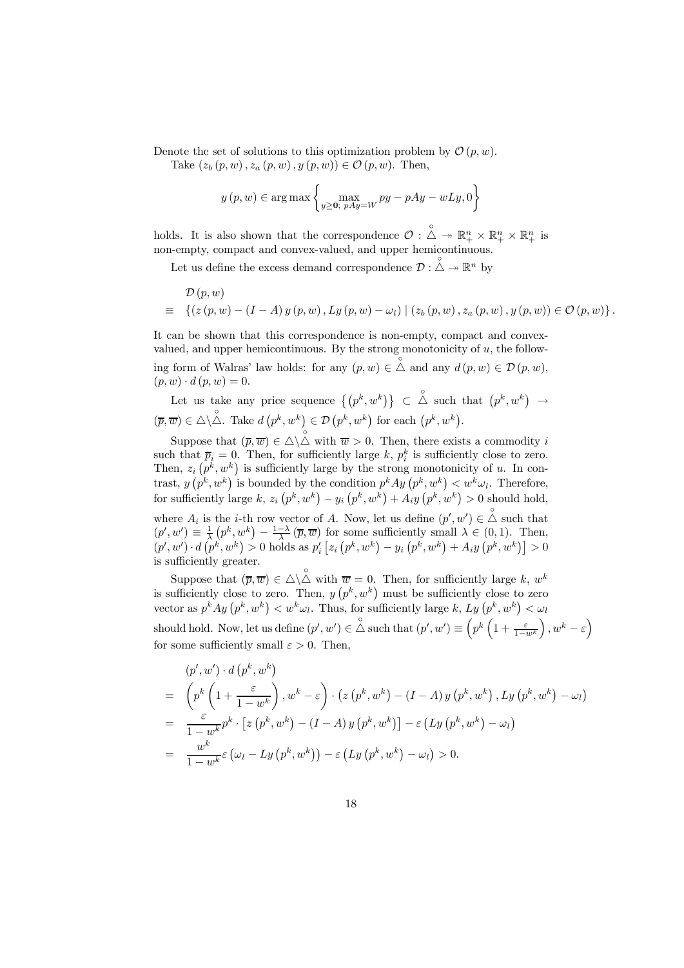Denote the set of solutions to this optimization problem by  $\mathcal{O}(p, w)$ .

Take  $(z_b(p, w), z_a(p, w), y(p, w)) \in \mathcal{O}(p, w)$ . Then,

$$
y(p, w) \in \arg \max \left\{ \max_{y \ge 0; \ pAy = W} py - pAy - wLy, 0 \right\}
$$

holds. It is also shown that the correspondence  $\mathcal{O}: \triangle \rightarrow \mathbb{R}_+^n \times \mathbb{R}_+^n \times \mathbb{R}_+^n$  is non-empty, compact and convex-valued, and upper hemicontinuous.

Let us define the excess demand correspondence  $\mathcal{D} : \overset{\circ}{\triangle} \rightarrow \mathbb{R}^n$  by

$$
\mathcal{D}(p, w) = \left\{ (z (p, w) - (I - A) y (p, w), Ly (p, w) - \omega_l) \mid (z_b (p, w), z_a (p, w), y (p, w)) \in \mathcal{O}(p, w) \right\}.
$$

It can be shown that this correspondence is non-empty, compact and convexvalued, and upper hemicontinuous. By the strong monotonicity of  $u$ , the following form of Walras' law holds: for any  $(p, w) \in \triangle$  and any  $d(p, w) \in \mathcal{D}(p, w)$ ,  $(p, w) \cdot d(p, w) = 0.$ 

Let us take any price sequence 
$$
\{(p^k, w^k)\}\subset \overset{\circ}{\triangle}
$$
 such that  $(p^k, w^k) \to (\overline{p}, \overline{w}) \in \triangle \backslash \overset{\circ}{\triangle}$ . Take  $d(p^k, w^k) \in \mathcal{D}(p^k, w^k)$  for each  $(p^k, w^k)$ .

Suppose that  $(\overline{p}, \overline{w}) \in \triangle \backslash \overset{\circ}{\triangle}$  with  $\overline{w} > 0$ . Then, there exists a commodity i such that  $\overline{p}_i = 0$ . Then, for sufficiently large k,  $p_i^k$  is sufficiently close to zero. Then,  $z_i(p^k, w^k)$  is sufficiently large by the strong monotonicity of u. In contrast,  $y(p^k, w^k)$  is bounded by the condition  $p^k A y(p^k, w^k) < w^k \omega_l$ . Therefore, for sufficiently large k,  $z_i(p^k, w^k) - y_i(p^k, w^k) + A_i y(p^k, w^k) > 0$  should hold, where  $A_i$  is the *i*-th row vector of A. Now, let us define  $(p', w') \in \triangle$  such that  $(p', w') \equiv \frac{1}{\lambda} (p^k, w^k) - \frac{1-\lambda}{\lambda} (\overline{p}, \overline{w})$  for some sufficiently small  $\lambda \in (0, 1)$ . Then,  $(p', w') \cdot d(p^k, w^k) > 0$  holds as  $p'_i [z_i (p^k, w^k) - y_i (p^k, w^k) + A_i y (p^k, w^k)] > 0$ is sufficiently greater.

Suppose that  $(\overline{p}, \overline{w}) \in \triangle \backslash \overset{\circ}{\triangle}$  with  $\overline{w} = 0$ . Then, for sufficiently large k,  $w^k$ is sufficiently close to zero. Then,  $y(p^k, w^k)$  must be sufficiently close to zero vector as  $p^k A y (p^k, w^k) < w^k \omega_l$ . Thus, for sufficiently large k,  $L_y(p^k, w^k) < \omega_l$ should hold. Now, let us define  $(p', w') \in \overset{\circ}{\triangle}$  such that  $(p', w') \equiv \left(p^k \left(1 + \frac{\varepsilon}{1 - w^k}\right)\right)$  $\Big), w^k - \varepsilon \Big)$ for some sufficiently small  $\varepsilon > 0$ . Then,

$$
(p', w') \cdot d(p^k, w^k)
$$
  
= 
$$
\left(p^k \left(1 + \frac{\varepsilon}{1 - w^k}\right), w^k - \varepsilon\right) \cdot \left(z \left(p^k, w^k\right) - (I - A) y \left(p^k, w^k\right), Ly\left(p^k, w^k\right) - \omega_l\right)
$$
  
= 
$$
\frac{\varepsilon}{1 - w^k} p^k \cdot \left[z \left(p^k, w^k\right) - (I - A) y \left(p^k, w^k\right)\right] - \varepsilon \left(Ly \left(p^k, w^k\right) - \omega_l\right)
$$
  
= 
$$
\frac{w^k}{1 - w^k} \varepsilon \left(\omega_l - Ly\left(p^k, w^k\right)\right) - \varepsilon \left(Ly \left(p^k, w^k\right) - \omega_l\right) > 0.
$$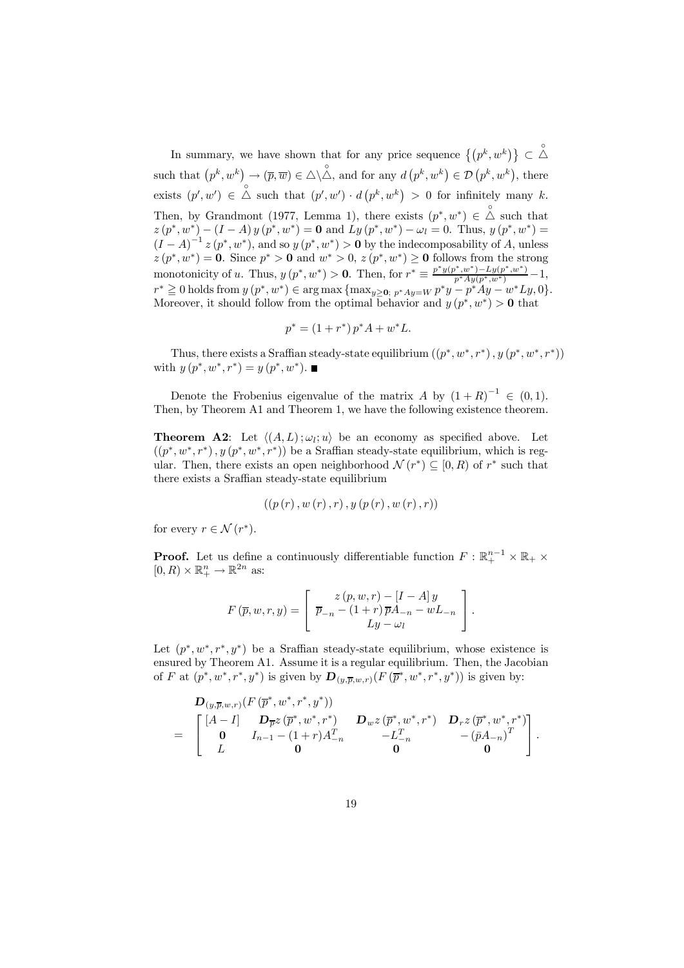In summary, we have shown that for any price sequence  $\{(p^k, w^k)\}\subset \overset{\circ}{\triangle}$ such that  $(p^k, w^k) \rightarrow (\overline{p}, \overline{w}) \in \triangle \setminus \overset{\circ}{\triangle}$ , and for any  $d(p^k, w^k) \in \mathcal{D}(p^k, w^k)$ , there exists  $(p', w') \in \overset{\circ}{\triangle}$  such that  $(p', w') \cdot d(p^k, w^k) > 0$  for infinitely many k. Then, by Grandmont (1977, Lemma 1), there exists  $(p^*, w^*) \in \triangle^{\circ}$  such that  $z(p^*, w^*) - (I - A) y (p^*, w^*) = 0$  and  $Ly (p^*, w^*) - \omega_l = 0$ . Thus,  $y(p^*, w^*) =$  $(I - A)^{-1} z (p^*, w^*)$ , and so  $y (p^*, w^*) > 0$  by the indecomposability of A, unless  $z(p^*, w^*) = 0$ . Since  $p^* > 0$  and  $w^* > 0$ ,  $z(p^*, w^*) \ge 0$  follows from the strong monotonicity of u. Thus,  $y(p^*, w^*) > 0$ . Then, for  $r^* \equiv \frac{p^*y(p^*, w^*) - Ly(p^*, w^*)}{n^* A v(f(x^*, w^*))} - 1$ .  $\frac{p(w)-Ly(p,w)}{p^*Ay(p^*,w^*)} - 1,$  $r^* \geq 0$  holds from  $y (p^*, w^*) \in \arg \max \{ \max_{y \geq 0, p^*Ay = W} p^*y - p^*Ay - w^*Ly, 0 \}.$ Moreover, it should follow from the optimal behavior and  $y (p^*, w^*) > 0$  that

$$
p^* = (1 + r^*) p^* A + w^* L.
$$

Thus, there exists a Sraffian steady-state equilibrium  $((p^*, w^*, r^*)$ ,  $y (p^*, w^*, r^*))$ with  $y (p^*, w^*, r^*) = y (p^*, w^*)$ . ■

Denote the Frobenius eigenvalue of the matrix A by  $(1+R)^{-1} \in (0,1)$ . Then, by Theorem A1 and Theorem 1, we have the following existence theorem.

**Theorem A2:** Let  $\langle (A, L) ; \omega_i; u \rangle$  be an economy as specified above. Let  $((p^*, w^*, r^*), y (p^*, w^*, r^*))$  be a Sraffian steady-state equilibrium, which is regular. Then, there exists an open neighborhood  $\mathcal{N}(r^*) \subseteq [0, R)$  of  $r^*$  such that there exists a Sraffian steady-state equilibrium

$$
((p(r), w(r), r), y (p(r), w (r), r))
$$

for every  $r \in \mathcal{N}(r^*)$ .

**Proof.** Let us define a continuously differentiable function  $F : \mathbb{R}^{n-1}_+ \times \mathbb{R}_+ \times$  $[0, R) \times \mathbb{R}^n_+ \to \mathbb{R}^{2n}$  as:

$$
F(\overline{p}, w, r, y) = \begin{bmatrix} z(p, w, r) - [I - A]y \\ \overline{p}_{-n} - (1+r)\overline{p}A_{-n} - wL_{-n} \\ Ly - \omega_l \end{bmatrix}.
$$

Let  $(p^*, w^*, r^*, u^*)$  be a Sraffian steady-state equilibrium, whose existence is ensured by Theorem A1. Assume it is a regular equilibrium. Then, the Jacobian of F at  $(p^*, w^*, r^*, y^*)$  is given by  $\mathbf{D}_{(y,\overline{p},w,r)}(F(\overline{p}^*, w^*, r^*, y^*))$  is given by:

$$
\begin{array}{ll}\n\mathbf{D}_{(y,\overline{p},w,r)}(F(\overline{p}^*,w^*,r^*,y^*)) \\
= \begin{bmatrix}\n[A-I] & \mathbf{D}_{\overline{p}}z(\overline{p}^*,w^*,r^*) & \mathbf{D}_{w}z(\overline{p}^*,w^*,r^*) & \mathbf{D}_{r}z(\overline{p}^*,w^*,r^*) \\
\mathbf{0} & I_{n-1}-(1+r)A_{-n}^T & -L_{-n}^T & -(\overline{p}A_{-n})^T \\
L & 0 & 0 & 0\n\end{bmatrix}.\n\end{array}
$$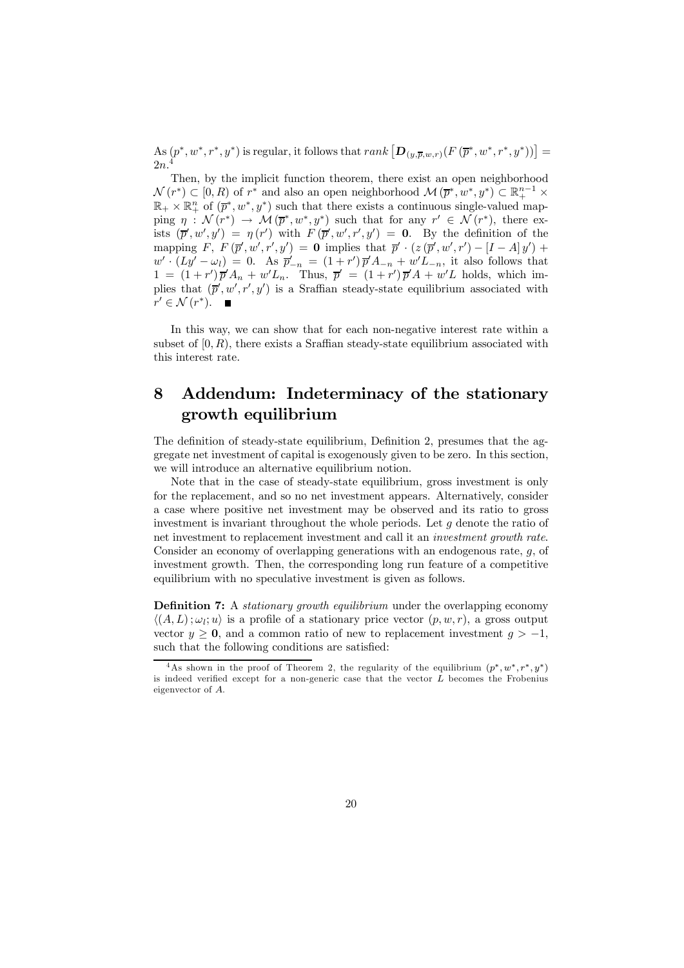As  $(p^*, w^*, r^*, y^*)$  is regular, it follows that  $rank\left[\mathbf{D}_{(y,\overline{p},w,r)}(F(\overline{p}^*, w^*, r^*, y^*))\right] =$ 2n.

Then, by the implicit function theorem, there exist an open neighborhood  $\mathcal{N}(r^*) \subset [0, R)$  of  $r^*$  and also an open neighborhood  $\mathcal{M}(\overline{p}^*, w^*, y^*) \subset \mathbb{R}^{n-1}_+$  ×  $\mathbb{R}_+ \times \mathbb{R}_+^n$  of  $(\overline{p}^*, w^*, y^*)$  such that there exists a continuous single-valued mapping  $\eta : \mathcal{N}(r^*) \to \mathcal{M}(\overline{p}^*, w^*, y^*)$  such that for any  $r' \in \mathcal{N}(r^*)$ , there exists  $(\bar{p}', w', y') = \eta(r')$  with  $F(\bar{p}', w', r', y') = 0$ . By the definition of the mapping  $F, F(\overline{p}', w', r', y') = 0$  implies that  $\overline{p}' \cdot (z(\overline{p}', w', r') - [I - A] y') +$  $w' \cdot (Ly' - \omega_l) = 0$ . As  $\overline{p}'_{-n} = (1 + r') \overline{p}' A_{-n} + w' L_{-n}$ , it also follows that  $1 = (1+r')\overline{p}'A_n + w'L_n$ . Thus,  $\overline{p}' = (1+r')\overline{p}'A + w'L$  holds, which implies that  $(\bar{p}', w', r', y')$  is a Sraffian steady-state equilibrium associated with  $r' \in \mathcal{N}(r^*)$ .  $\blacksquare$ 

In this way, we can show that for each non-negative interest rate within a subset of  $[0, R)$ , there exists a Sraffian steady-state equilibrium associated with this interest rate.

## 8 Addendum: Indeterminacy of the stationary growth equilibrium

The definition of steady-state equilibrium, Definition 2, presumes that the aggregate net investment of capital is exogenously given to be zero. In this section, we will introduce an alternative equilibrium notion.

Note that in the case of steady-state equilibrium, gross investment is only for the replacement, and so no net investment appears. Alternatively, consider a case where positive net investment may be observed and its ratio to gross investment is invariant throughout the whole periods. Let  $g$  denote the ratio of net investment to replacement investment and call it an investment growth rate. Consider an economy of overlapping generations with an endogenous rate,  $g$ , of investment growth. Then, the corresponding long run feature of a competitive equilibrium with no speculative investment is given as follows.

**Definition 7:** A *stationary growth equilibrium* under the overlapping economy  $\langle (A, L); \omega_l; u \rangle$  is a profile of a stationary price vector  $(p, w, r)$ , a gross output vector  $y \ge 0$ , and a common ratio of new to replacement investment  $g > -1$ , such that the following conditions are satisfied:

<sup>&</sup>lt;sup>4</sup>As shown in the proof of Theorem 2, the regularity of the equilibrium  $(p^*, w^*, r^*, y^*)$ is indeed verified except for a non-generic case that the vector  $L$  becomes the Frobenius eigenvector of A.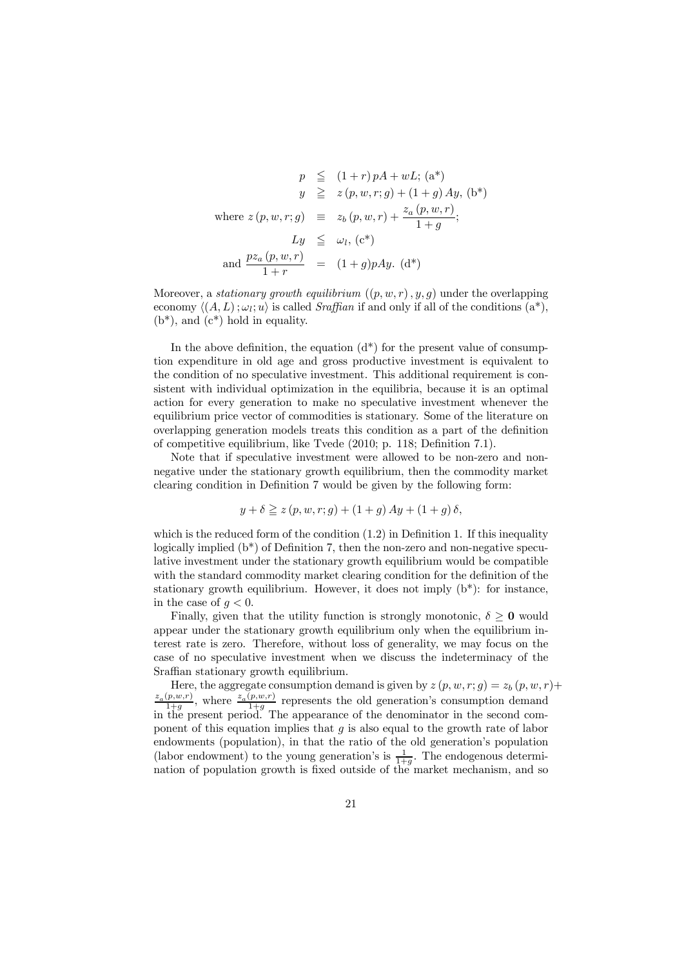$$
p \leq (1+r)pA + wL; (a^*)
$$
  
\n
$$
y \geq z(p, w, r; g) + (1+g)Ay, (b^*)
$$
  
\nwhere  $z(p, w, r; g) \equiv z_b(p, w, r) + \frac{z_a(p, w, r)}{1+g};$   
\n
$$
Ly \leq \omega_l, (c^*)
$$
  
\nand 
$$
\frac{pz_a(p, w, r)}{1+r} = (1+g)pAy, (d^*)
$$

Moreover, a *stationary growth equilibrium*  $((p, w, r), y, q)$  under the overlapping economy  $\langle (A, L) : \omega_l; u \rangle$  is called Sraffian if and only if all of the conditions  $(a^*),$  $(b^*)$ , and  $(c^*)$  hold in equality.

In the above definition, the equation  $(d^*)$  for the present value of consumption expenditure in old age and gross productive investment is equivalent to the condition of no speculative investment. This additional requirement is consistent with individual optimization in the equilibria, because it is an optimal action for every generation to make no speculative investment whenever the equilibrium price vector of commodities is stationary. Some of the literature on overlapping generation models treats this condition as a part of the definition of competitive equilibrium, like Tvede (2010; p. 118; Definition 7.1).

Note that if speculative investment were allowed to be non-zero and nonnegative under the stationary growth equilibrium, then the commodity market clearing condition in Definition 7 would be given by the following form:

$$
y + \delta \ge z (p, w, r; g) + (1 + g) Ay + (1 + g) \delta,
$$

which is the reduced form of the condition  $(1.2)$  in Definition 1. If this inequality logically implied (b\*) of Definition 7, then the non-zero and non-negative speculative investment under the stationary growth equilibrium would be compatible with the standard commodity market clearing condition for the definition of the stationary growth equilibrium. However, it does not imply (b\*): for instance, in the case of  $q < 0$ .

Finally, given that the utility function is strongly monotonic,  $\delta \geq 0$  would appear under the stationary growth equilibrium only when the equilibrium interest rate is zero. Therefore, without loss of generality, we may focus on the case of no speculative investment when we discuss the indeterminacy of the Sraffian stationary growth equilibrium.

Here, the aggregate consumption demand is given by  $z(p, w, r; g) = z_b(p, w, r) +$  $\frac{z_a(p,w,r)}{1+g}$ , where  $\frac{z_a(p,w,r)}{1+g}$  represents the old generation's consumption demand in the present period. The appearance of the denominator in the second component of this equation implies that  $g$  is also equal to the growth rate of labor endowments (population), in that the ratio of the old generation's population (labor endowment) to the young generation's is  $\frac{1}{1+g}$ . The endogenous determination of population growth is fixed outside of the market mechanism, and so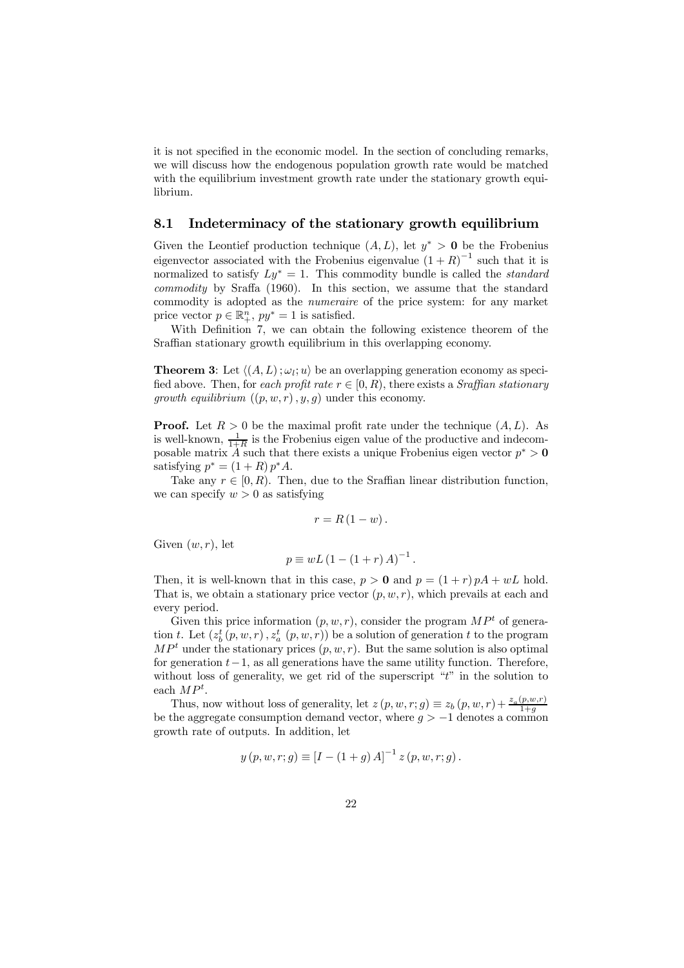it is not specified in the economic model. In the section of concluding remarks, we will discuss how the endogenous population growth rate would be matched with the equilibrium investment growth rate under the stationary growth equilibrium.

#### 8.1 Indeterminacy of the stationary growth equilibrium

Given the Leontief production technique  $(A, L)$ , let  $y^* > 0$  be the Frobenius eigenvector associated with the Frobenius eigenvalue  $(1 + R)^{-1}$  such that it is normalized to satisfy  $Ly^* = 1$ . This commodity bundle is called the *standard* commodity by Sraffa (1960). In this section, we assume that the standard commodity is adopted as the numeraire of the price system: for any market price vector  $p \in \mathbb{R}_+^n$ ,  $py^* = 1$  is satisfied.

With Definition 7, we can obtain the following existence theorem of the Sraffian stationary growth equilibrium in this overlapping economy.

**Theorem 3:** Let  $\langle (A, L) ; \omega_l; u \rangle$  be an overlapping generation economy as specified above. Then, for each profit rate  $r \in [0, R)$ , there exists a *Sraffian stationary* growth equilibrium  $((p, w, r), y, g)$  under this economy.

**Proof.** Let  $R > 0$  be the maximal profit rate under the technique  $(A, L)$ . As is well-known,  $\frac{1}{1+R}$  is the Frobenius eigen value of the productive and indecomposable matrix A such that there exists a unique Frobenius eigen vector  $p^* > 0$ satisfying  $p^* = (1 + R) p^* A$ .

Take any  $r \in [0, R)$ . Then, due to the Sraffian linear distribution function, we can specify  $w > 0$  as satisfying

$$
r = R(1 - w).
$$

Given  $(w, r)$ , let

$$
p \equiv wL (1 - (1 + r) A)^{-1}.
$$

Then, it is well-known that in this case,  $p > 0$  and  $p = (1 + r) pA + wL$  hold. That is, we obtain a stationary price vector  $(p, w, r)$ , which prevails at each and every period.

Given this price information  $(p, w, r)$ , consider the program  $MP<sup>t</sup>$  of generation t. Let  $(z_b^t(p, w, r), z_a^t(p, w, r))$  be a solution of generation t to the program  $MP<sup>t</sup>$  under the stationary prices  $(p, w, r)$ . But the same solution is also optimal for generation  $t-1$ , as all generations have the same utility function. Therefore, without loss of generality, we get rid of the superscript "t" in the solution to each  $MP<sup>t</sup>$ .

Thus, now without loss of generality, let  $z(p, w, r; g) \equiv z_b(p, w, r) + \frac{z_a(p, w, r)}{1 + g}$ be the aggregate consumption demand vector, where  $g > -1$  denotes a common growth rate of outputs. In addition, let

$$
y(p, w, r; g) \equiv [I - (1 + g) A]^{-1} z (p, w, r; g).
$$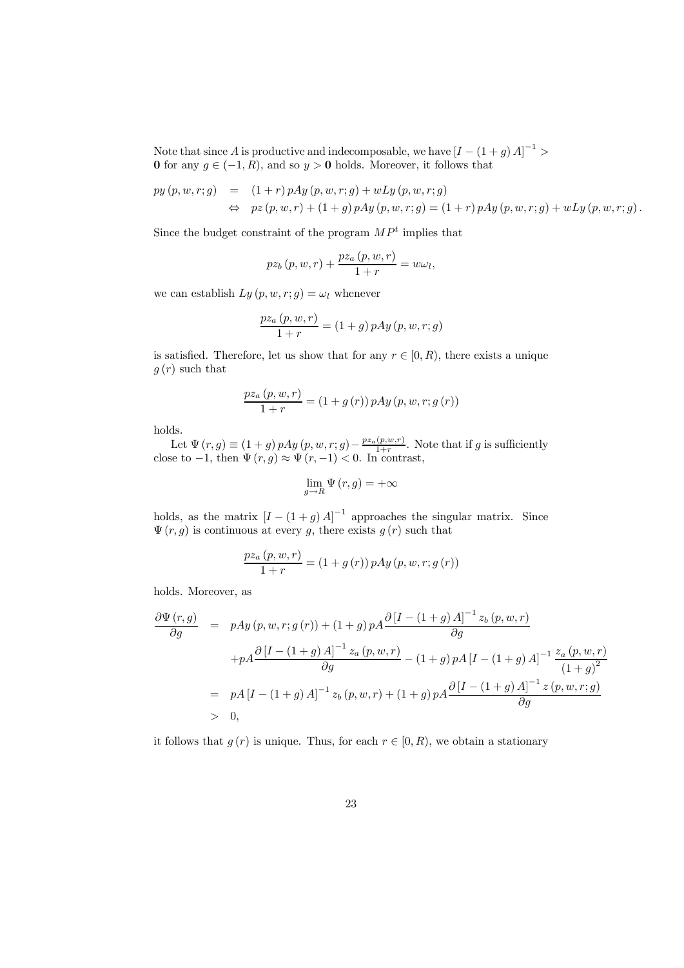Note that since A is productive and indecomposable, we have  $[I-(1+g)A]^{-1}$ 0 for any  $g \in (-1, R)$ , and so  $y > 0$  holds. Moreover, it follows that

$$
py(p, w, r; g) = (1+r) pAy(p, w, r; g) + wLy(p, w, r; g) \n\Leftrightarrow pz(p, w, r) + (1+g) pAy(p, w, r; g) = (1+r) pAy(p, w, r; g) + wLy(p, w, r; g).
$$

Since the budget constraint of the program  $MP<sup>t</sup>$  implies that

$$
pz_b(p, w, r) + \frac{pz_a(p, w, r)}{1+r} = w\omega_l,
$$

we can establish  $Ly (p, w, r; g) = \omega_l$  whenever

$$
\frac{pz_a(p, w, r)}{1+r} = (1+g) pAy(p, w, r; g)
$$

is satisfied. Therefore, let us show that for any  $r \in [0, R)$ , there exists a unique  $g(r)$  such that

$$
\frac{pz_{a}(p, w, r)}{1+r} = (1+g(r)) pAy(p, w, r; g(r))
$$

holds.

Let  $\Psi(r, g) \equiv (1+g)pAy(p, w, r; g) - \frac{pz_a(p, w, r)}{1+r}$ . Note that if g is sufficiently close to  $-1$ , then  $\Psi(r, g) \approx \Psi(r, -1) < 0$ . In contrast,

$$
\lim_{g \to R} \Psi(r, g) = +\infty
$$

holds, as the matrix  $[I - (1 + g)A]^{-1}$  approaches the singular matrix. Since  $\Psi(r, g)$  is continuous at every g, there exists  $g(r)$  such that

$$
\frac{pz_{a}(p, w, r)}{1+r} = (1+g(r)) pAy(p, w, r; g(r))
$$

holds. Moreover, as

$$
\frac{\partial \Psi(r,g)}{\partial g} = pAy(p,w,r;g(r)) + (1+g)pA \frac{\partial [I - (1+g)A]^{-1} z_b(p,w,r)}{\partial g}
$$
  
+
$$
pA \frac{\partial [I - (1+g)A]^{-1} z_a(p,w,r)}{\partial g} - (1+g)pA[I - (1+g)A]^{-1} \frac{z_a(p,w,r)}{(1+g)^2}
$$
  
=
$$
pA[I - (1+g)A]^{-1} z_b(p,w,r) + (1+g)pA \frac{\partial [I - (1+g)A]^{-1} z(p,w,r;g)}{\partial g}
$$
  
> 0,

it follows that  $q(r)$  is unique. Thus, for each  $r \in [0, R)$ , we obtain a stationary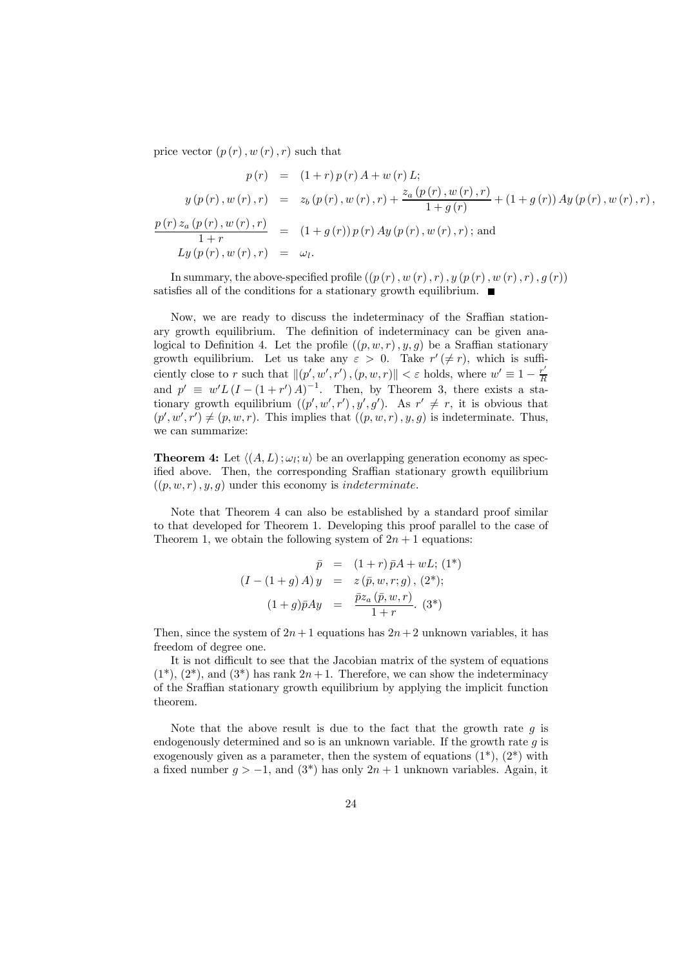price vector  $(p(r), w(r), r)$  such that

$$
p(r) = (1+r) p(r) A + w(r) L;
$$
  
\n
$$
y(p(r), w(r), r) = z_b (p(r), w(r), r) + \frac{z_a (p(r), w(r), r)}{1 + g(r)} + (1 + g(r)) A y (p(r), w(r), r),
$$
  
\n
$$
\frac{p(r) z_a (p(r), w(r), r)}{1 + r} = (1 + g(r)) p(r) A y (p(r), w(r), r);
$$
and  
\n
$$
L y (p(r), w(r), r) = \omega_l.
$$

In summary, the above-specified profile  $((p(r), w(r), r), y (p(r), w (r), r), g (r))$ satisfies all of the conditions for a stationary growth equilibrium.  $\blacksquare$ 

Now, we are ready to discuss the indeterminacy of the Sraffian stationary growth equilibrium. The definition of indeterminacy can be given analogical to Definition 4. Let the profile  $((p, w, r), y, g)$  be a Sraffian stationary growth equilibrium. Let us take any  $\varepsilon > 0$ . Take  $r'(\neq r)$ , which is sufficiently close to r such that  $\|(p', w', r')\, , (p, w, r)\| < \varepsilon$  holds, where  $w' \equiv 1 - \frac{r'}{R}$ and  $p' \equiv w'L(I - (1+r')A)^{-1}$ . Then, by Theorem 3, there exists a stationary growth equilibrium  $((p', w', r'), y', g')$ . As  $r' \neq r$ , it is obvious that  $(p', w', r') \neq (p, w, r)$ . This implies that  $((p, w, r), y, g)$  is indeterminate. Thus, we can summarize:

**Theorem 4:** Let  $\langle (A, L); \omega_l; u \rangle$  be an overlapping generation economy as specified above. Then, the corresponding Sraffian stationary growth equilibrium  $((p, w, r), y, q)$  under this economy is *indeterminate*.

Note that Theorem 4 can also be established by a standard proof similar to that developed for Theorem 1. Developing this proof parallel to the case of Theorem 1, we obtain the following system of  $2n + 1$  equations:

$$
\bar{p} = (1+r)\bar{p}A + wL; (1^*)
$$
  
( $I - (1+g)A$ )  $y = z(\bar{p}, w, r; g), (2^*)$ ;  

$$
(1+g)\bar{p}Ay = \frac{\bar{p}z_a(\bar{p}, w, r)}{1+r}. (3^*)
$$

Then, since the system of  $2n+1$  equations has  $2n+2$  unknown variables, it has freedom of degree one.

It is not difficult to see that the Jacobian matrix of the system of equations  $(1^*)$ ,  $(2^*)$ , and  $(3^*)$  has rank  $2n+1$ . Therefore, we can show the indeterminacy of the Sraffian stationary growth equilibrium by applying the implicit function theorem.

Note that the above result is due to the fact that the growth rate  $g$  is endogenously determined and so is an unknown variable. If the growth rate  $q$  is exogenously given as a parameter, then the system of equations  $(1^*)$ ,  $(2^*)$  with a fixed number  $g > -1$ , and  $(3^*)$  has only  $2n + 1$  unknown variables. Again, it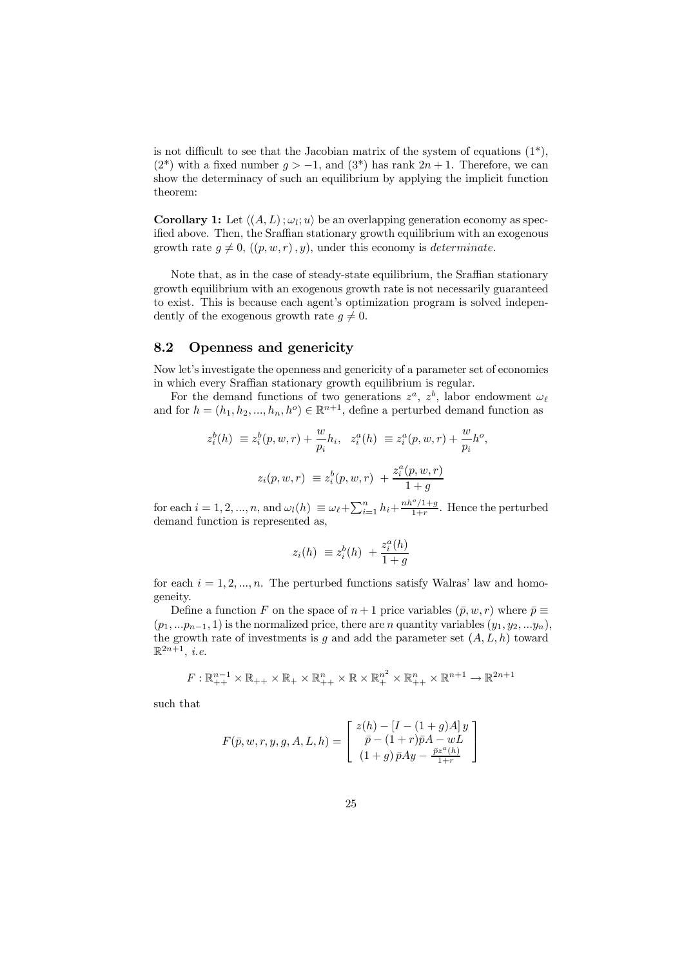is not difficult to see that the Jacobian matrix of the system of equations  $(1^*)$ ,  $(2^*)$  with a fixed number  $g > -1$ , and  $(3^*)$  has rank  $2n + 1$ . Therefore, we can show the determinacy of such an equilibrium by applying the implicit function theorem:

**Corollary 1:** Let  $\langle (A, L) ; \omega_l; u \rangle$  be an overlapping generation economy as specified above. Then, the Sraffian stationary growth equilibrium with an exogenous growth rate  $q \neq 0$ ,  $((p, w, r), y)$ , under this economy is *determinate*.

Note that, as in the case of steady-state equilibrium, the Sraffian stationary growth equilibrium with an exogenous growth rate is not necessarily guaranteed to exist. This is because each agent's optimization program is solved independently of the exogenous growth rate  $q \neq 0$ .

#### 8.2 Openness and genericity

Now let's investigate the openness and genericity of a parameter set of economies in which every Sraffian stationary growth equilibrium is regular.

For the demand functions of two generations  $z^a$ ,  $z^b$ , labor endowment  $\omega_\ell$ and for  $h = (h_1, h_2, ..., h_n, h^o) \in \mathbb{R}^{n+1}$ , define a perturbed demand function as

$$
z_i^b(h) \equiv z_i^b(p, w, r) + \frac{w}{p_i} h_i, \quad z_i^a(h) \equiv z_i^a(p, w, r) + \frac{w}{p_i} h^o,
$$
  

$$
z_i(p, w, r) \equiv z_i^b(p, w, r) + \frac{z_i^a(p, w, r)}{1 + g}
$$

for each  $i = 1, 2, ..., n$ , and  $\omega_l(h) \equiv \omega_{\ell} + \sum_{i=1}^n h_i + \frac{nh^o/1+g}{1+r}$ . Hence the perturbed demand function is represented as,

$$
z_i(h) \equiv z_i^b(h) + \frac{z_i^a(h)}{1+g}
$$

for each  $i = 1, 2, ..., n$ . The perturbed functions satisfy Walras' law and homogeneity.

Define a function F on the space of  $n + 1$  price variables  $(\bar{p}, w, r)$  where  $\bar{p} \equiv$  $(p_1, \ldots, p_{n-1}, 1)$  is the normalized price, there are n quantity variables  $(y_1, y_2, \ldots, y_n)$ , the growth rate of investments is q and add the parameter set  $(A, L, h)$  toward  $\mathbb{R}^{2n+1}$ , *i.e.* 

$$
F: \mathbb{R}_{++}^{n-1} \times \mathbb{R}_{++} \times \mathbb{R}_{+} \times \mathbb{R}_{++}^{n} \times \mathbb{R} \times \mathbb{R}_{+}^{n^{2}} \times \mathbb{R}_{++}^{n} \times \mathbb{R}^{n+1} \to \mathbb{R}^{2n+1}
$$

such that

$$
F(\bar{p}, w, r, y, g, A, L, h) = \begin{bmatrix} z(h) - [I - (1 + g)A]y \\ \bar{p} - (1 + r)\bar{p}A - wL \\ (1 + g)\bar{p}Ay - \frac{\bar{p}z^{a}(h)}{1 + r} \end{bmatrix}
$$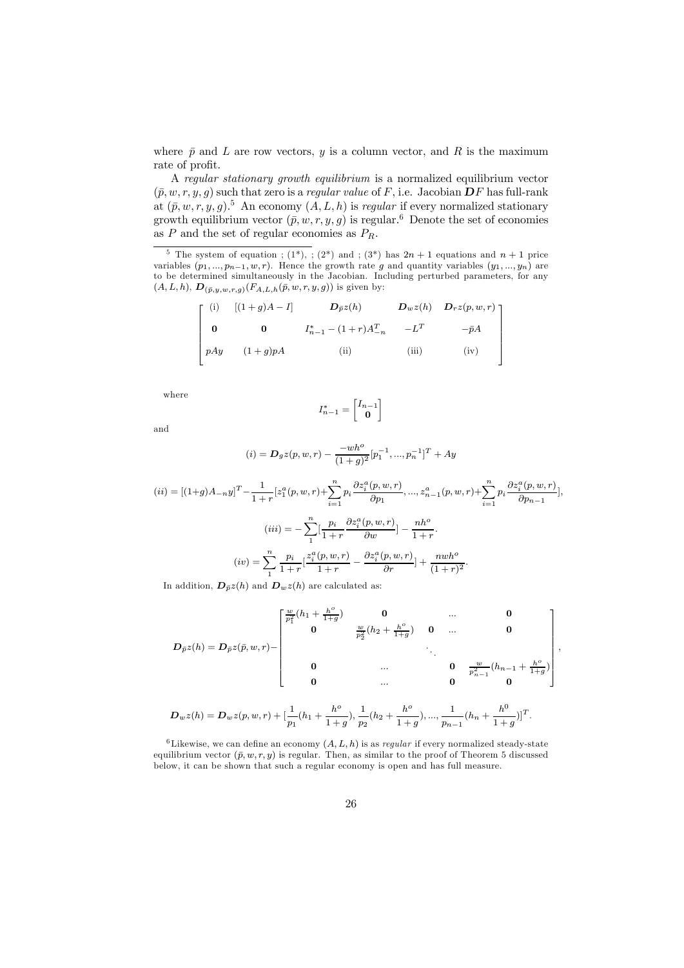where  $\bar{p}$  and L are row vectors, y is a column vector, and R is the maximum rate of profit.

A regular stationary growth equilibrium is a normalized equilibrium vector  $(\bar{p}, w, r, y, g)$  such that zero is a *regular value* of F, i.e. Jacobian **D**F has full-rank at  $(\bar{p}, w, r, y, g)$ .<sup>5</sup> An economy  $(A, L, h)$  is *regular* if every normalized stationary growth equilibrium vector  $(\bar{p}, w, r, y, g)$  is regular.<sup>6</sup> Denote the set of economies as  $P$  and the set of regular economies as  $P_R$ .

<sup>5</sup> The system of equation ; (1<sup>\*</sup>), ; (2<sup>\*</sup>) and ; (3<sup>\*</sup>) has  $2n + 1$  equations and  $n + 1$  price variables  $(p_1, ..., p_{n-1}, w, r)$ . Hence the growth rate g and quantity variables  $(y_1, ..., y_n)$  are to be determined simultaneously in the Jacobian. Including perturbed parameters, for any  $(A, L, h), D_{(\bar{p},y,w,r,g)}(F_{A,L,h}(\bar{p}, w, r, y, g))$  is given by:

$$
\begin{bmatrix}\n(i) & [(1+g)A-I] & \mathbf{D}_{\bar{p}}z(h) & \mathbf{D}_{w}z(h) & \mathbf{D}_{r}z(p,w,r) \\
0 & 0 & I_{n-1}^{*} - (1+r)A_{-n}^{T} & -L^{T} & -\bar{p}A \\
pAy & (1+g)pA & (ii) & (iii) & (iv)\n\end{bmatrix}
$$

where

and

$$
I_{n-1}^* = \begin{bmatrix} I_{n-1} \\ \mathbf{0} \end{bmatrix}
$$

$$
(i) = D_g z(p, w, r) - \frac{-wh^o}{(1+g)^2} [p_1^{-1}, ..., p_n^{-1}]^T + Ay
$$

$$
(ii) = [(1+g)A_{-n}y]^T - \frac{1}{1+r} [z_1^a(p, w, r) + \sum_{i=1}^n p_i \frac{\partial z_i^a(p, w, r)}{\partial p_1}, \dots, z_{n-1}^a(p, w, r) + \sum_{i=1}^n p_i \frac{\partial z_i^a(p, w, r)}{\partial p_{n-1}}],
$$

$$
(iii) = -\sum_{i=1}^n \left[ \frac{p_i}{1+r} \frac{\partial z_i^a(p, w, r)}{\partial w} \right] - \frac{nh^o}{1+r}.
$$

$$
(iv) = \sum_{i=1}^n \frac{p_i}{1+r} \left[ \frac{z_i^a(p, w, r)}{1+r} - \frac{\partial z_i^a(p, w, r)}{\partial r} \right] + \frac{nwh^o}{(1+r)^2}.
$$

In addition,  $\mathbf{D}_{\bar{p}}z(h)$  and  $\mathbf{D}_{w}z(h)$  are calculated as:

$$
D_{\bar{p}}z(h) = D_{\bar{p}}z(\bar{p}, w, r) - \begin{bmatrix} \frac{w}{p_1^2}(h_1 + \frac{h^o}{1+g}) & \mathbf{0} & \dots & \mathbf{0} \\ \mathbf{0} & \frac{w}{p_2^2}(h_2 + \frac{h^o}{1+g}) & \mathbf{0} & \dots & \mathbf{0} \\ & & & \ddots & & \\ \mathbf{0} & \dots & \mathbf{0} & \frac{w}{p_{n-1}^2}(h_{n-1} + \frac{h^o}{1+g}) \\ \mathbf{0} & \dots & \mathbf{0} & \mathbf{0} \end{bmatrix},
$$

$$
D_w z(h) = D_w z(p, w, r) + \left[\frac{1}{p_1}(h_1 + \frac{h^o}{1+g}), \frac{1}{p_2}(h_2 + \frac{h^o}{1+g}), ..., \frac{1}{p_{n-1}}(h_n + \frac{h^0}{1+g})\right]^T.
$$

<sup>6</sup>Likewise, we can define an economy  $(A, L, h)$  is as *regular* if every normalized steady-state equilibrium vector  $(\bar{p}, w, r, y)$  is regular. Then, as similar to the proof of Theorem 5 discussed below, it can be shown that such a regular economy is open and has full measure.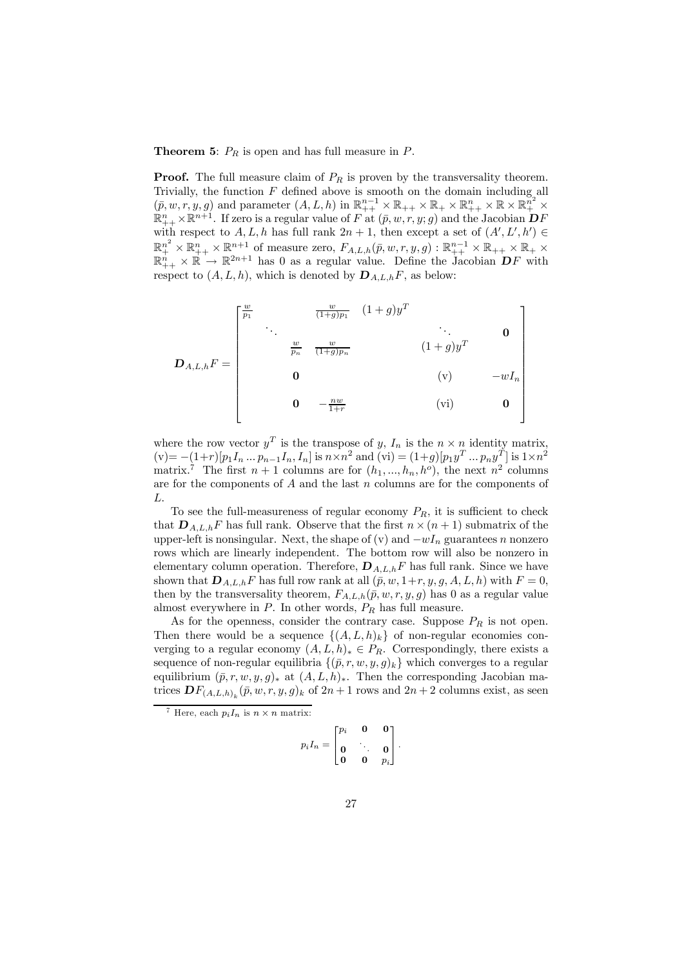#### **Theorem 5:**  $P_R$  is open and has full measure in  $P$ .

**Proof.** The full measure claim of  $P_R$  is proven by the transversality theorem. Trivially, the function  $F$  defined above is smooth on the domain including all  $(\bar{p}, w, r, y, g)$  and parameter  $(A, L, h)$  in  $\mathbb{R}_{++}^{n-1} \times \mathbb{R}_{++} \times \mathbb{R}_{+} \times \mathbb{R}_{++} \times \mathbb{R} \times \mathbb{R}_{++}^{n^2} \times \mathbb{R}_{++}^{n} \times \mathbb{R}^{n+1}$ . If zero is a regular value of F at  $(\bar{p}, w, r, y; g)$  and the Jacobian  $\mathbf{D}F$ with respect to  $A, L, h$  has full rank  $2n + 1$ , then except a set of  $(A', L', h') \in$  $\mathbb{R}^{n^2}_{+} \times \mathbb{R}^{n+1}_{+} \times \mathbb{R}^{n+1}$  of measure zero,  $F_{A,L,h}(\bar{p}, w, r, y, g) : \mathbb{R}^{n-1}_{++} \times \mathbb{R}_{++} \times \mathbb{R}_{+} \times$  $\mathbb{R}^n_{++} \times \mathbb{R} \to \mathbb{R}^{2n+1}$  has 0 as a regular value. Define the Jacobian  $DF$  with respect to  $(A, L, h)$ , which is denoted by  $\mathbf{D}_{A, L, h}F$ , as below:

$$
\mathbf{D}_{A,L,h}F = \begin{bmatrix} \frac{w}{p_1} & \frac{w}{(1+g)p_1} & (1+g)y^T & & & \\ & \ddots & & & \ddots & & \\ & & \frac{w}{p_n} & \frac{w}{(1+g)p_n} & & & (1+g)y^T & \\ & & & & & (v) & -wI_n \\ & & & & & (v) & & -wI_n \\ & & & & & & (vi) & & 0 \end{bmatrix}
$$

where the row vector  $y^T$  is the transpose of y,  $I_n$  is the  $n \times n$  identity matrix,  $(v) = -(1+r)[p_1I_n...p_{n-1}I_n, I_n]$  is  $n \times n^2$  and  $(vi) = (1+g)[p_1y^T...p_ny^T]$  is  $1 \times n^2$ matrix.<sup>7</sup> The first  $n + 1$  columns are for  $(h_1, ..., h_n, h^o)$ , the next  $n^2$  columns are for the components of  $A$  and the last  $n$  columns are for the components of L.

To see the full-measureness of regular economy  $P_R$ , it is sufficient to check that  $\mathbf{D}_{A,L,h}F$  has full rank. Observe that the first  $n \times (n+1)$  submatrix of the upper-left is nonsingular. Next, the shape of (v) and  $-wI_n$  guarantees n nonzero rows which are linearly independent. The bottom row will also be nonzero in elementary column operation. Therefore,  $\mathbf{D}_{A,L,h}F$  has full rank. Since we have shown that  $D_{A,L,h}F$  has full row rank at all  $(\bar{p}, w, 1+r, y, g, A, L, h)$  with  $F = 0$ , then by the transversality theorem,  $F_{A,L,h}(\bar{p}, w, r, y, g)$  has 0 as a regular value almost everywhere in  $P$ . In other words,  $P_R$  has full measure.

As for the openness, consider the contrary case. Suppose  $P_R$  is not open. Then there would be a sequence  $\{(A, L, h)_{k}\}\$  of non-regular economies converging to a regular economy  $(A, L, h)_* \in P_R$ . Correspondingly, there exists a sequence of non-regular equilibria  $\{(\bar{p}, r, w, y, g)_k\}$  which converges to a regular equilibrium  $(\bar{p}, r, w, y, g)_*$  at  $(A, L, h)_*.$  Then the corresponding Jacobian matrices  $\mathbf{D} F_{(A,L,h)_k}(\bar{p}, w, r, y, g)_k$  of  $2n + 1$  rows and  $2n + 2$  columns exist, as seen

$$
p_i I_n = \begin{bmatrix} p_i & \mathbf{0} & \mathbf{0} \\ \mathbf{0} & \ddots & \mathbf{0} \\ \mathbf{0} & \mathbf{0} & p_i \end{bmatrix}.
$$

<sup>&</sup>lt;sup>7</sup> Here, each  $p_iI_n$  is  $n \times n$  matrix: